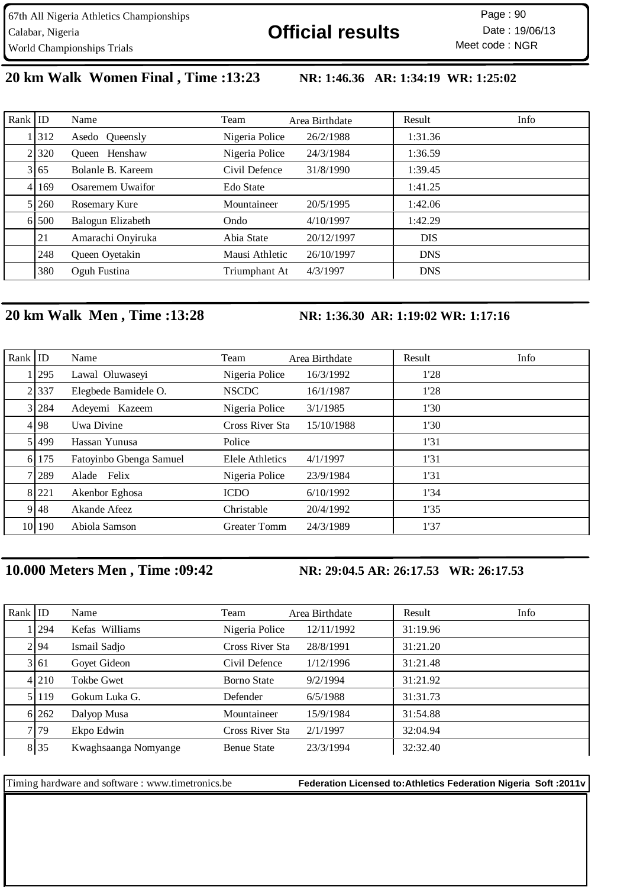**20 km Walk Women Final , Time :13:23 NR: 1:46.36 AR: 1:34:19 WR: 1:25:02** 

| Rank   ID |       | Name              | Team           | Area Birthdate | Result     | Info |
|-----------|-------|-------------------|----------------|----------------|------------|------|
|           | 1312  | Asedo Queensly    | Nigeria Police | 26/2/1988      | 1:31.36    |      |
|           | 21320 | Henshaw<br>Oueen  | Nigeria Police | 24/3/1984      | 1:36.59    |      |
|           | 3 65  | Bolanle B. Kareem | Civil Defence  | 31/8/1990      | 1:39.45    |      |
|           | 4 169 | Osaremem Uwaifor  | Edo State      |                | 1:41.25    |      |
|           | 5 260 | Rosemary Kure     | Mountaineer    | 20/5/1995      | 1:42.06    |      |
|           | 6.500 | Balogun Elizabeth | Ondo           | 4/10/1997      | 1:42.29    |      |
|           | 21    | Amarachi Onyiruka | Abia State     | 20/12/1997     | <b>DIS</b> |      |
|           | 248   | Queen Oyetakin    | Mausi Athletic | 26/10/1997     | <b>DNS</b> |      |
|           | 380   | Oguh Fustina      | Triumphant At  | 4/3/1997       | <b>DNS</b> |      |

## **20 km Walk Men , Time :13:28 NR: 1:36.30 AR: 1:19:02 WR: 1:17:16**

| Rank $ $ ID |         | Name                    | Team                   | Area Birthdate | Result | Info |
|-------------|---------|-------------------------|------------------------|----------------|--------|------|
|             | 1295    | Lawal Oluwaseyi         | Nigeria Police         | 16/3/1992      | 1'28   |      |
|             | 2 337   | Elegbede Bamidele O.    | <b>NSCDC</b>           | 16/1/1987      | 1'28   |      |
|             | 3 284   | Adeyemi Kazeem          | Nigeria Police         | 3/1/1985       | 1'30   |      |
|             | 4 98    | Uwa Divine              | Cross River Sta        | 15/10/1988     | 1'30   |      |
|             | 51499   | Hassan Yunusa           | Police                 |                | 1'31   |      |
|             | 6 175   | Fatoyinbo Gbenga Samuel | <b>Elele Athletics</b> | 4/1/1997       | 1'31   |      |
|             | 71289   | Felix<br>Alade          | Nigeria Police         | 23/9/1984      | 1'31   |      |
|             | 8 2 2 1 | Akenbor Eghosa          | <b>ICDO</b>            | 6/10/1992      | 1'34   |      |
|             | 9 48    | Akande Afeez            | Christable             | 20/4/1992      | 1'35   |      |
|             | 10 190  | Abiola Samson           | <b>Greater Tomm</b>    | 24/3/1989      | 1'37   |      |

## **10.000 Meters Men , Time :09:42 NR: 29:04.5 AR: 26:17.53 WR: 26:17.53**

| Rank $ $ ID |           | Name                 | Team               | Area Birthdate | Result   | Info |
|-------------|-----------|----------------------|--------------------|----------------|----------|------|
|             | 1   294   | Kefas Williams       | Nigeria Police     | 12/11/1992     | 31:19.96 |      |
|             | 2.94      | Ismail Sadjo         | Cross River Sta    | 28/8/1991      | 31:21.20 |      |
|             | 3 61      | Goyet Gideon         | Civil Defence      | 1/12/1996      | 31:21.48 |      |
|             | 4 2 1 0   | <b>Tokbe Gwet</b>    | <b>Borno State</b> | 9/2/1994       | 31:21.92 |      |
|             | 5 1 1 1 9 | Gokum Luka G.        | Defender           | 6/5/1988       | 31:31.73 |      |
|             | 6 262     | Dalyop Musa          | Mountaineer        | 15/9/1984      | 31:54.88 |      |
|             | 7.79      | Ekpo Edwin           | Cross River Sta    | 2/1/1997       | 32:04.94 |      |
|             | 8 35      | Kwaghsaanga Nomyange | <b>Benue State</b> | 23/3/1994      | 32:32.40 |      |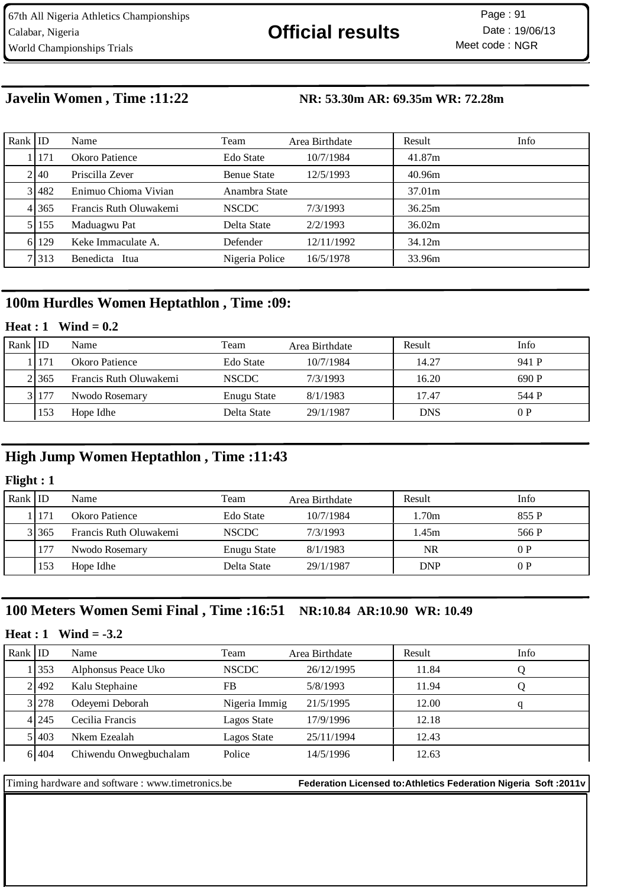## **Javelin Women , Time :11:22 NR: 53.30m AR: 69.35m WR: 72.28m**

| Rank IID |       | Name                   | Team               | Area Birthdate | Result | Info |
|----------|-------|------------------------|--------------------|----------------|--------|------|
|          | 1171  | Okoro Patience         | Edo State          | 10/7/1984      | 41.87m |      |
|          | 2140  | Priscilla Zever        | <b>Benue State</b> | 12/5/1993      | 40.96m |      |
|          | 3 482 | Enimuo Chioma Vivian   | Anambra State      |                | 37.01m |      |
|          | 4 365 | Francis Ruth Oluwakemi | <b>NSCDC</b>       | 7/3/1993       | 36.25m |      |
|          | 5 155 | Maduagwu Pat           | Delta State        | 2/2/1993       | 36.02m |      |
|          | 6 129 | Keke Immaculate A.     | Defender           | 12/11/1992     | 34.12m |      |
|          | 71313 | Benedicta Itua         | Nigeria Police     | 16/5/1978      | 33.96m |      |

## **100m Hurdles Women Heptathlon , Time :09:**

#### **Heat : 1 Wind = 0.2**

| Rank $ $ ID |       | Name                   | Team         | Area Birthdate | Result     | Info  |
|-------------|-------|------------------------|--------------|----------------|------------|-------|
|             | 11171 | Okoro Patience         | Edo State    | 10/7/1984      | 14.27      | 941 P |
|             | 21365 | Francis Ruth Oluwakemi | <b>NSCDC</b> | 7/3/1993       | 16.20      | 690 P |
|             | 31177 | Nwodo Rosemary         | Enugu State  | 8/1/1983       | 17.47      | 544 P |
|             | 153   | Hope Idhe              | Delta State  | 29/1/1987      | <b>DNS</b> | 0P    |

## **High Jump Women Heptathlon , Time :11:43**

### **Flight : 1**

| Rank ID |         | Name                   | Team         | Area Birthdate | Result     | Info  |
|---------|---------|------------------------|--------------|----------------|------------|-------|
|         | 11171   | Okoro Patience         | Edo State    | 10/7/1984      | .70m       | 855 P |
|         | 3 3 6 5 | Francis Ruth Oluwakemi | <b>NSCDC</b> | 7/3/1993       | 45m        | 566 P |
|         |         | Nwodo Rosemary         | Enugu State  | 8/1/1983       | NR         | 0P    |
|         | 153     | Hope Idhe              | Delta State  | 29/1/1987      | <b>DNP</b> | 0P    |

## **100 Meters Women Semi Final , Time :16:51 NR:10.84 AR:10.90 WR: 10.49**

#### **Heat : 1 Wind = -3.2**

| Rank $ $ ID |         | Name                   | Team          | Area Birthdate | Result | Info |
|-------------|---------|------------------------|---------------|----------------|--------|------|
|             | 1353    | Alphonsus Peace Uko    | <b>NSCDC</b>  | 26/12/1995     | 11.84  |      |
|             | 21492   | Kalu Stephaine         | FB            | 5/8/1993       | 11.94  |      |
|             | 3 278   | Odeyemi Deborah        | Nigeria Immig | 21/5/1995      | 12.00  |      |
|             | 4 2 4 5 | Cecilia Francis        | Lagos State   | 17/9/1996      | 12.18  |      |
|             | 51403   | Nkem Ezealah           | Lagos State   | 25/11/1994     | 12.43  |      |
|             | 6 404   | Chiwendu Onwegbuchalam | Police        | 14/5/1996      | 12.63  |      |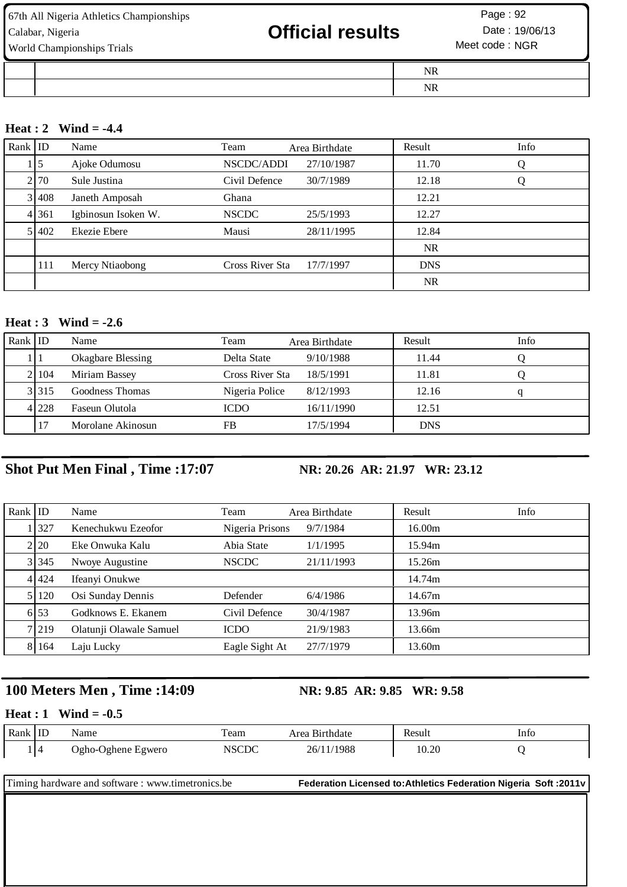| 67th All Nigeria Athletics Championships<br>Calabar, Nigeria<br>World Championships Trials | <b>Official results</b> | Page: 92<br>Date: 19/06/13<br>Meet code: NGR |  |
|--------------------------------------------------------------------------------------------|-------------------------|----------------------------------------------|--|
|                                                                                            |                         | NR                                           |  |
|                                                                                            |                         | NR                                           |  |

#### **Heat : 2 Wind = -4.4**

| Rank ID |            | Name                | Team            | Area Birthdate | Result     | Info |
|---------|------------|---------------------|-----------------|----------------|------------|------|
|         | $1\vert 5$ | Ajoke Odumosu       | NSCDC/ADDI      | 27/10/1987     | 11.70      |      |
|         | 2 70       | Sule Justina        | Civil Defence   | 30/7/1989      | 12.18      | Ő    |
|         | 3 408      | Janeth Amposah      | Ghana           |                | 12.21      |      |
|         | 4 361      | Igbinosun Isoken W. | <b>NSCDC</b>    | 25/5/1993      | 12.27      |      |
|         | 5 402      | Ekezie Ebere        | Mausi           | 28/11/1995     | 12.84      |      |
|         |            |                     |                 |                | <b>NR</b>  |      |
|         | 111        | Mercy Ntiaobong     | Cross River Sta | 17/7/1997      | <b>DNS</b> |      |
|         |            |                     |                 |                | <b>NR</b>  |      |

#### **Heat : 3 Wind = -2.6**

| Rank ID |       | Name              | Team            | Area Birthdate | Result     | Info |
|---------|-------|-------------------|-----------------|----------------|------------|------|
|         |       | Okagbare Blessing | Delta State     | 9/10/1988      | 11.44      |      |
|         | 21104 | Miriam Bassey     | Cross River Sta | 18/5/1991      | 11.81      |      |
|         | 3.315 | Goodness Thomas   | Nigeria Police  | 8/12/1993      | 12.16      |      |
|         | 41228 | Faseun Olutola    | <b>ICDO</b>     | 16/11/1990     | 12.51      |      |
|         |       | Morolane Akinosun | FB              | 17/5/1994      | <b>DNS</b> |      |

# **Shot Put Men Final , Time :17:07 NR: 20.26 AR: 21.97 WR: 23.12**

| Rank   ID |         | Name                    | Team            | Area Birthdate | Result | Info |
|-----------|---------|-------------------------|-----------------|----------------|--------|------|
|           | 1 3 2 7 | Kenechukwu Ezeofor      | Nigeria Prisons | 9/7/1984       | 16.00m |      |
|           | 2 20    | Eke Onwuka Kalu         | Abia State      | 1/1/1995       | 15.94m |      |
|           | 3 345   | Nwoye Augustine         | <b>NSCDC</b>    | 21/11/1993     | 15.26m |      |
|           | 4 424   | Ifeanyi Onukwe          |                 |                | 14.74m |      |
|           | 5   120 | Osi Sunday Dennis       | Defender        | 6/4/1986       | 14.67m |      |
|           | 6.53    | Godknows E. Ekanem      | Civil Defence   | 30/4/1987      | 13.96m |      |
|           | 7 219   | Olatunji Olawale Samuel | <b>ICDO</b>     | 21/9/1983      | 13.66m |      |
|           | 8 164   | Laju Lucky              | Eagle Sight At  | 27/7/1979      | 13.60m |      |

# **100 Meters Men , Time :14:09 NR: 9.85 AR: 9.85 WR: 9.58**

#### **Heat : 1 Wind = -0.5**

| Rank | .<br>ЧL | Name                          | eam   | Birthdate<br>Area | Result | Into |
|------|---------|-------------------------------|-------|-------------------|--------|------|
|      | - 14    | . Ogho<br>Oghene.<br>: Egwero | NSCDC | /1988<br>26/      | 10.20  |      |

| Timing hardware and software: www.timetronics.be | Federation Licensed to: Athletics Federation Nigeria Soft : 2011v |
|--------------------------------------------------|-------------------------------------------------------------------|
|                                                  |                                                                   |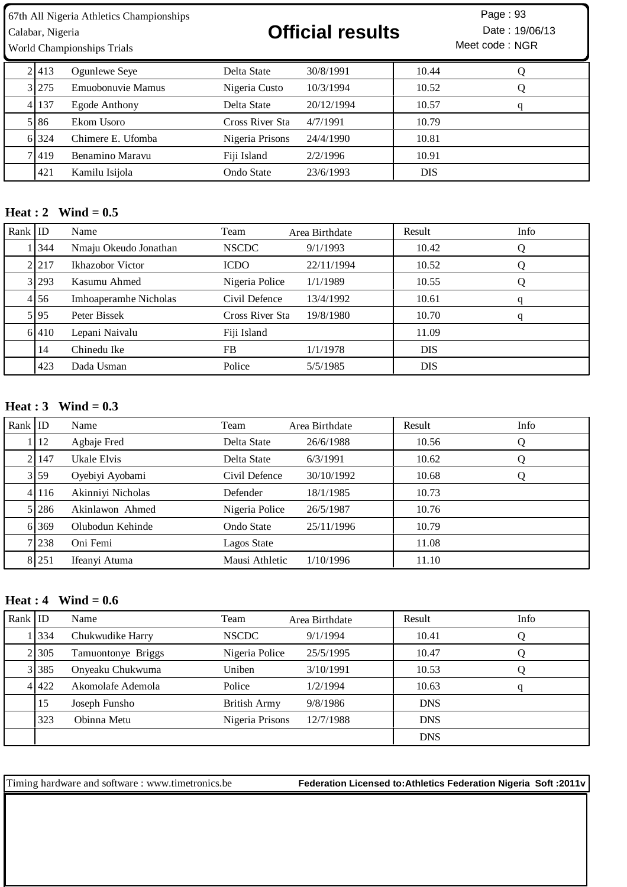World Championships Trials

Calabar, Nigeria **19/06/13 Official results** Date : 19/06/13

Meet code : NGR Page: 93

| 2.413 | Ogunlewe Seye     | Delta State     | 30/8/1991  | 10.44      |  |
|-------|-------------------|-----------------|------------|------------|--|
| 3 275 | Emuobonuvie Mamus | Nigeria Custo   | 10/3/1994  | 10.52      |  |
| 4 137 | Egode Anthony     | Delta State     | 20/12/1994 | 10.57      |  |
| 5 8 6 | Ekom Usoro        | Cross River Sta | 4/7/1991   | 10.79      |  |
| 6 324 | Chimere E. Ufomba | Nigeria Prisons | 24/4/1990  | 10.81      |  |
| 71419 | Benamino Maravu   | Fiji Island     | 2/2/1996   | 10.91      |  |
| 421   | Kamilu Isijola    | Ondo State      | 23/6/1993  | <b>DIS</b> |  |
|       |                   |                 |            |            |  |

#### **Heat : 2 Wind = 0.5**

| Rank $ $ ID |       | Name                  | Team            | Area Birthdate | Result     | Info |
|-------------|-------|-----------------------|-----------------|----------------|------------|------|
|             | 344   | Nmaju Okeudo Jonathan | <b>NSCDC</b>    | 9/1/1993       | 10.42      |      |
|             | 2.217 | Ikhazobor Victor      | <b>ICDO</b>     | 22/11/1994     | 10.52      |      |
|             | 3 293 | Kasumu Ahmed          | Nigeria Police  | 1/1/1989       | 10.55      |      |
|             | 4 56  | Imhoaperamhe Nicholas | Civil Defence   | 13/4/1992      | 10.61      | q    |
|             | 5 95  | Peter Bissek          | Cross River Sta | 19/8/1980      | 10.70      | q    |
|             | 6 410 | Lepani Naivalu        | Fiji Island     |                | 11.09      |      |
|             | 14    | Chinedu Ike           | <b>FB</b>       | 1/1/1978       | <b>DIS</b> |      |
|             | 423   | Dada Usman            | Police          | 5/5/1985       | <b>DIS</b> |      |

#### **Heat : 3 Wind = 0.3**

| Rank $ $ ID |       | Name              | Team           | Area Birthdate | Result | Info |
|-------------|-------|-------------------|----------------|----------------|--------|------|
|             | 12    | Agbaje Fred       | Delta State    | 26/6/1988      | 10.56  | Q    |
|             | 2147  | Ukale Elvis       | Delta State    | 6/3/1991       | 10.62  | Q    |
|             | 3 59  | Oyebiyi Ayobami   | Civil Defence  | 30/10/1992     | 10.68  | Q    |
|             | 4 116 | Akinniyi Nicholas | Defender       | 18/1/1985      | 10.73  |      |
|             | 5 286 | Akinlawon Ahmed   | Nigeria Police | 26/5/1987      | 10.76  |      |
|             | 6 369 | Olubodun Kehinde  | Ondo State     | 25/11/1996     | 10.79  |      |
|             | 7 238 | Oni Femi          | Lagos State    |                | 11.08  |      |
|             | 8 251 | Ifeanyi Atuma     | Mausi Athletic | 1/10/1996      | 11.10  |      |

#### **Heat : 4 Wind = 0.6**

| Rank $ $ ID |       | Name               | Team                | Area Birthdate | Result     | Info |
|-------------|-------|--------------------|---------------------|----------------|------------|------|
|             | 11334 | Chukwudike Harry   | <b>NSCDC</b>        | 9/1/1994       | 10.41      | Q    |
|             | 2 305 | Tamuontonye Briggs | Nigeria Police      | 25/5/1995      | 10.47      |      |
|             | 3 385 | Onyeaku Chukwuma   | Uniben              | 3/10/1991      | 10.53      |      |
|             | 4 422 | Akomolafe Ademola  | Police              | 1/2/1994       | 10.63      |      |
|             | 15    | Joseph Funsho      | <b>British Army</b> | 9/8/1986       | <b>DNS</b> |      |
|             | 323   | Obinna Metu        | Nigeria Prisons     | 12/7/1988      | <b>DNS</b> |      |
|             |       |                    |                     |                | <b>DNS</b> |      |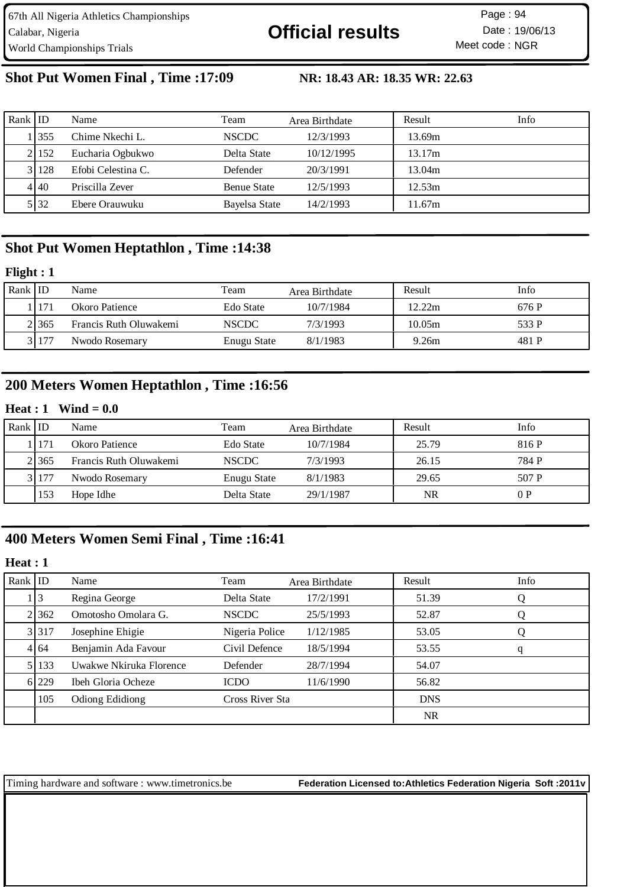67th All Nigeria Athletics Championships Calabar, Nigeria **19/06/13 Official results** Date : 19/06/13 World Championships Trials

Meet code: NGR Page: 94

# **Shot Put Women Final , Time :17:09 NR: 18.43 AR: 18.35 WR: 22.63**

| Rank $ $ ID |           | Name               | Team               | Area Birthdate | Result | Info |
|-------------|-----------|--------------------|--------------------|----------------|--------|------|
|             | 1355      | Chime Nkechi L.    | <b>NSCDC</b>       | 12/3/1993      | 13.69m |      |
|             | 21152     | Eucharia Ogbukwo   | Delta State        | 10/12/1995     | 13.17m |      |
|             | 3 1 1 2 8 | Efobi Celestina C. | Defender           | 20/3/1991      | 13.04m |      |
|             | 4 40      | Priscilla Zever    | <b>Benue State</b> | 12/5/1993      | 12.53m |      |
|             | 5 32      | Ebere Orauwuku     | Bayelsa State      | 14/2/1993      | 11.67m |      |

## **Shot Put Women Heptathlon , Time :14:38**

#### **Flight : 1**

| Rank $ $ ID |                | Name                   | Team         | Area Birthdate | Result | Info  |
|-------------|----------------|------------------------|--------------|----------------|--------|-------|
|             | <sup>171</sup> | Okoro Patience         | Edo State    | 10/7/1984      | 12.22m | 676 P |
|             | 2.365          | Francis Ruth Oluwakemi | <b>NSCDC</b> | 7/3/1993       | 10.05m | 533 P |
|             | 31177          | Nwodo Rosemary         | Enugu State  | 8/1/1983       | 9.26m  | 481 P |

## **200 Meters Women Heptathlon , Time :16:56**

#### **Heat : 1 Wind = 0.0**

| Rank   ID |       | Name                   | Team         | Area Birthdate | Result    | Info  |
|-----------|-------|------------------------|--------------|----------------|-----------|-------|
|           | 171   | Okoro Patience         | Edo State    | 10/7/1984      | 25.79     | 816 P |
|           | 21365 | Francis Ruth Oluwakemi | <b>NSCDC</b> | 7/3/1993       | 26.15     | 784 P |
|           | 3 177 | Nwodo Rosemary         | Enugu State  | 8/1/1983       | 29.65     | 507 P |
|           | 153   | Hope Idhe              | Delta State  | 29/1/1987      | <b>NR</b> | 0P    |

# **400 Meters Women Semi Final , Time :16:41**

## **Heat : 1**

| Rank $ $ ID |       | Name                      | Team            | Area Birthdate | Result     | Info |
|-------------|-------|---------------------------|-----------------|----------------|------------|------|
|             | 13    | Regina George             | Delta State     | 17/2/1991      | 51.39      | Q    |
|             | 2 362 | Omotosho Omolara G.       | <b>NSCDC</b>    | 25/5/1993      | 52.87      | Ő    |
|             | 3 317 | Josephine Ehigie          | Nigeria Police  | 1/12/1985      | 53.05      | Ő    |
|             | 4 64  | Benjamin Ada Favour       | Civil Defence   | 18/5/1994      | 53.55      | q    |
|             | 5 133 | Uwakwe Nkiruka Florence   | Defender        | 28/7/1994      | 54.07      |      |
|             | 6 229 | <b>Ibeh Gloria Ocheze</b> | <b>ICDO</b>     | 11/6/1990      | 56.82      |      |
|             | 105   | Odiong Edidiong           | Cross River Sta |                | <b>DNS</b> |      |
|             |       |                           |                 |                | <b>NR</b>  |      |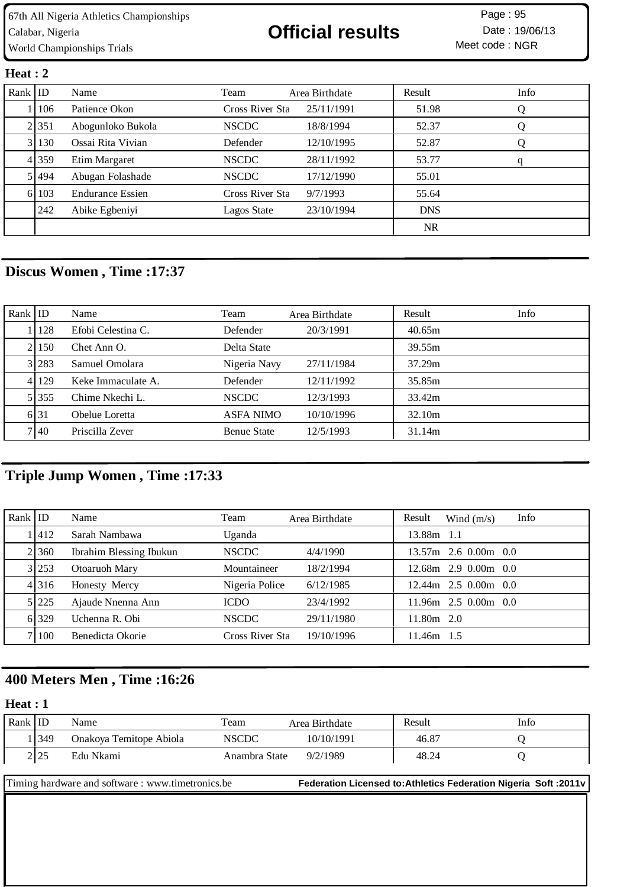Meet code: NGR Page: 95

#### **Heat : 2**

| Rank $ $ ID |           | Name                    | Team            | Area Birthdate | Result     | Info |
|-------------|-----------|-------------------------|-----------------|----------------|------------|------|
|             | 1106      | Patience Okon           | Cross River Sta | 25/11/1991     | 51.98      | Ő    |
|             | 2.351     | Abogunloko Bukola       | <b>NSCDC</b>    | 18/8/1994      | 52.37      |      |
|             | 3 130     | Ossai Rita Vivian       | Defender        | 12/10/1995     | 52.87      | Q    |
|             | 4 359     | Etim Margaret           | <b>NSCDC</b>    | 28/11/1992     | 53.77      | q    |
|             | 5 4 4 4 4 | Abugan Folashade        | <b>NSCDC</b>    | 17/12/1990     | 55.01      |      |
|             | 6 103     | <b>Endurance Essien</b> | Cross River Sta | 9/7/1993       | 55.64      |      |
|             | 242       | Abike Egbeniyi          | Lagos State     | 23/10/1994     | <b>DNS</b> |      |
|             |           |                         |                 |                | <b>NR</b>  |      |

# **Discus Women , Time :17:37**

| Rank ID |           | Name               | Team               | Area Birthdate | Result | Info |
|---------|-----------|--------------------|--------------------|----------------|--------|------|
|         | 128       | Efobi Celestina C. | Defender           | 20/3/1991      | 40.65m |      |
|         | 21150     | Chet Ann O.        | Delta State        |                | 39.55m |      |
|         | 3 283     | Samuel Omolara     | Nigeria Navy       | 27/11/1984     | 37.29m |      |
|         | 4 1 1 2 9 | Keke Immaculate A. | Defender           | 12/11/1992     | 35.85m |      |
|         | 5 355     | Chime Nkechi L.    | <b>NSCDC</b>       | 12/3/1993      | 33.42m |      |
|         | 6 31      | Obelue Loretta     | ASFA NIMO          | 10/10/1996     | 32.10m |      |
|         | 7140      | Priscilla Zever    | <b>Benue State</b> | 12/5/1993      | 31.14m |      |

# **Triple Jump Women , Time :17:33**

| Rank IID |         | Name                    | Team            | Area Birthdate | Info<br>Result<br>Wind $(m/s)$ |
|----------|---------|-------------------------|-----------------|----------------|--------------------------------|
|          | 1412    | Sarah Nambawa           | Uganda          |                | 13.88m 1.1                     |
|          | 21360   | Ibrahim Blessing Ibukun | <b>NSCDC</b>    | 4/4/1990       | $13.57m$ 2.6 0.00m 0.0         |
|          | 3 253   | Otoaruoh Mary           | Mountaineer     | 18/2/1994      | $2.9$ 0.00m 0.0<br>12.68m      |
|          | 4 3 1 6 | Honesty Mercy           | Nigeria Police  | 6/12/1985      | $12.44m$ $2.5$ 0.00m 0.0       |
|          | 5 225   | Ajaude Nnenna Ann       | <b>ICDO</b>     | 23/4/1992      | $11.96m$ 2.5 0.00m 0.0         |
|          | 6 329   | Uchenna R. Obi          | <b>NSCDC</b>    | 29/11/1980     | $11.80m$ 2.0                   |
|          | 71100   | Benedicta Okorie        | Cross River Sta | 19/10/1996     | 11.46m<br>1.5                  |

# **400 Meters Men , Time :16:26**

### **Heat : 1**

| Rank | 1ID  | Name                    | Team          | Area Birthdate | Result | Info |
|------|------|-------------------------|---------------|----------------|--------|------|
|      | 1349 | Onakoya Temitope Abiola | <b>NSCDC</b>  | 10/10/1991     | 46.87  |      |
|      | 2 25 | Edu Nkami               | Anambra State | 9/2/1989       | 48.24  |      |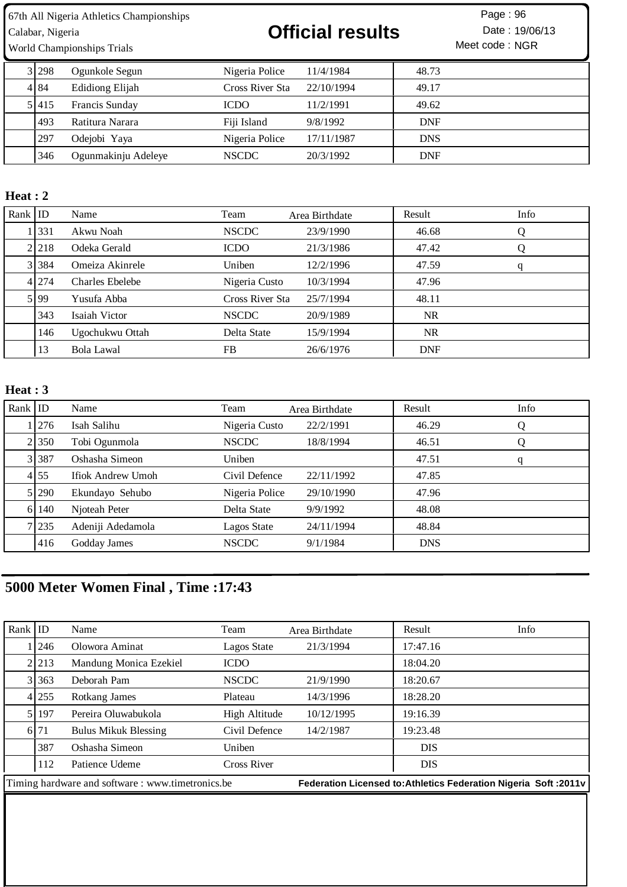World Championships Trials

# Calabar, Nigeria **19/06/13 Official results** Date : 19/06/13

Meet code : NGR Page: 96

| 3 298 | Ogunkole Segun      | Nigeria Police  | 11/4/1984  | 48.73      |  |
|-------|---------------------|-----------------|------------|------------|--|
| 4 84  | Edidiong Elijah     | Cross River Sta | 22/10/1994 | 49.17      |  |
| 51415 | Francis Sunday      | ICDO            | 11/2/1991  | 49.62      |  |
| 493   | Ratitura Narara     | Fiji Island     | 9/8/1992   | <b>DNF</b> |  |
| 297   | Odejobi Yaya        | Nigeria Police  | 17/11/1987 | <b>DNS</b> |  |
| 346   | Ogunmakinju Adeleye | <b>NSCDC</b>    | 20/3/1992  | <b>DNF</b> |  |

#### **Heat : 2**

| Rank $ $ ID |           | Name                   | Team            | Area Birthdate | Result     | Info |
|-------------|-----------|------------------------|-----------------|----------------|------------|------|
|             | 331       | Akwu Noah              | <b>NSCDC</b>    | 23/9/1990      | 46.68      |      |
|             | 2 2 1 8   | Odeka Gerald           | <b>ICDO</b>     | 21/3/1986      | 47.42      |      |
|             | 3 3 3 3 4 | Omeiza Akinrele        | Uniben          | 12/2/1996      | 47.59      | q    |
|             | 4 274     | <b>Charles Ebelebe</b> | Nigeria Custo   | 10/3/1994      | 47.96      |      |
|             | 5 99      | Yusufa Abba            | Cross River Sta | 25/7/1994      | 48.11      |      |
|             | 343       | Isaiah Victor          | <b>NSCDC</b>    | 20/9/1989      | <b>NR</b>  |      |
|             | 146       | Ugochukwu Ottah        | Delta State     | 15/9/1994      | <b>NR</b>  |      |
|             | 13        | Bola Lawal             | FB              | 26/6/1976      | <b>DNF</b> |      |

## **Heat : 3**

| Rank $ $ ID |           | Name              | Team           | Area Birthdate | Result     | Info |
|-------------|-----------|-------------------|----------------|----------------|------------|------|
|             | 1276      | Isah Salihu       | Nigeria Custo  | 22/2/1991      | 46.29      | Ő    |
|             | 2 350     | Tobi Ogunmola     | <b>NSCDC</b>   | 18/8/1994      | 46.51      | Q    |
|             | 3 3 3 3 7 | Oshasha Simeon    | Uniben         |                | 47.51      | q    |
|             | 4 55      | Ifiok Andrew Umoh | Civil Defence  | 22/11/1992     | 47.85      |      |
|             | 5 290     | Ekundayo Sehubo   | Nigeria Police | 29/10/1990     | 47.96      |      |
|             | 6 140     | Njoteah Peter     | Delta State    | 9/9/1992       | 48.08      |      |
|             | 7 235     | Adeniji Adedamola | Lagos State    | 24/11/1994     | 48.84      |      |
|             | 416       | Godday James      | <b>NSCDC</b>   | 9/1/1984       | <b>DNS</b> |      |

# **5000 Meter Women Final , Time :17:43**

| Rank $ $ ID |         | Name                                              | Team               | Area Birthdate | Result                                                           | Info |
|-------------|---------|---------------------------------------------------|--------------------|----------------|------------------------------------------------------------------|------|
|             | 1246    | Olowora Aminat                                    | Lagos State        | 21/3/1994      | 17:47.16                                                         |      |
|             | 2 213   | Mandung Monica Ezekiel                            | <b>ICDO</b>        |                | 18:04.20                                                         |      |
|             | 3 363   | Deborah Pam                                       | <b>NSCDC</b>       | 21/9/1990      | 18:20.67                                                         |      |
|             | 4 255   | Rotkang James                                     | Plateau            | 14/3/1996      | 18:28.20                                                         |      |
|             | 5   197 | Pereira Oluwabukola                               | High Altitude      | 10/12/1995     | 19:16.39                                                         |      |
|             | 6 71    | <b>Bulus Mikuk Blessing</b>                       | Civil Defence      | 14/2/1987      | 19:23.48                                                         |      |
|             | 387     | Oshasha Simeon                                    | Uniben             |                | <b>DIS</b>                                                       |      |
|             | 112     | Patience Udeme                                    | <b>Cross River</b> |                | <b>DIS</b>                                                       |      |
|             |         | Timing hardware and software : www.timetronics.be |                    |                | Federation Licensed to: Athletics Federation Nigeria Soft: 2011v |      |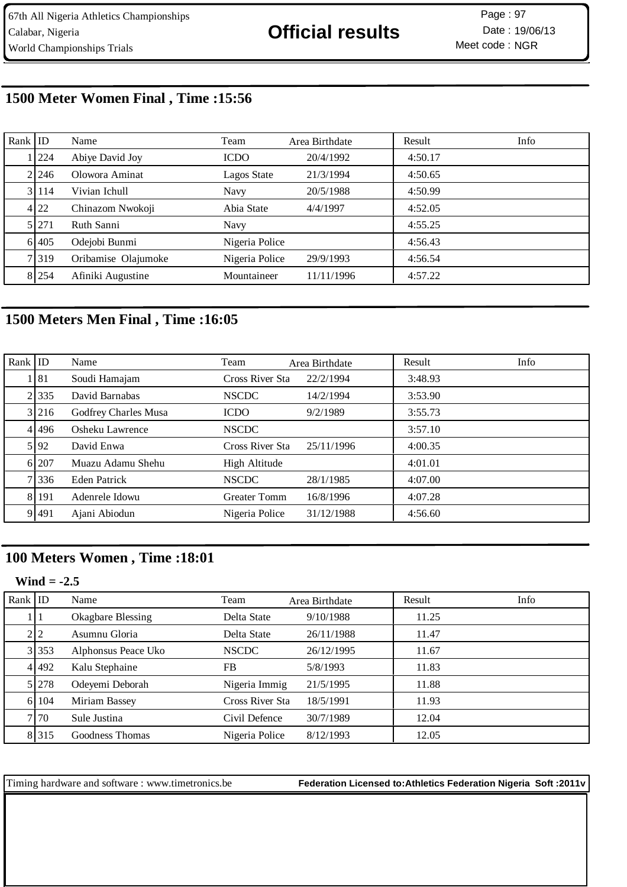# **1500 Meter Women Final , Time :15:56**

| Rank $ $ ID |       | Name                | Team           | Area Birthdate | Result  | Info |
|-------------|-------|---------------------|----------------|----------------|---------|------|
|             | 1 224 | Abiye David Joy     | <b>ICDO</b>    | 20/4/1992      | 4:50.17 |      |
|             | 2.246 | Olowora Aminat      | Lagos State    | 21/3/1994      | 4:50.65 |      |
|             | 3 114 | Vivian Ichull       | <b>Navy</b>    | 20/5/1988      | 4:50.99 |      |
|             | 4 22  | Chinazom Nwokoji    | Abia State     | 4/4/1997       | 4:52.05 |      |
|             | 5 271 | Ruth Sanni          | Navy           |                | 4:55.25 |      |
|             | 6 405 | Odejobi Bunmi       | Nigeria Police |                | 4:56.43 |      |
|             | 7 319 | Oribamise Olajumoke | Nigeria Police | 29/9/1993      | 4:56.54 |      |
|             | 8 254 | Afiniki Augustine   | Mountaineer    | 11/11/1996     | 4:57.22 |      |

# **1500 Meters Men Final , Time :16:05**

| $Rank$ ID |         | Name                 | Team                | Area Birthdate | Result  | Info |
|-----------|---------|----------------------|---------------------|----------------|---------|------|
|           | 1 81    | Soudi Hamajam        | Cross River Sta     | 22/2/1994      | 3:48.93 |      |
|           | 2 3 3 5 | David Barnabas       | <b>NSCDC</b>        | 14/2/1994      | 3:53.90 |      |
|           | 3 216   | Godfrey Charles Musa | <b>ICDO</b>         | 9/2/1989       | 3:55.73 |      |
|           | 41496   | Osheku Lawrence      | <b>NSCDC</b>        |                | 3:57.10 |      |
|           | 5 92    | David Enwa           | Cross River Sta     | 25/11/1996     | 4:00.35 |      |
|           | 6 207   | Muazu Adamu Shehu    | High Altitude       |                | 4:01.01 |      |
|           | 7 336   | Eden Patrick         | <b>NSCDC</b>        | 28/1/1985      | 4:07.00 |      |
|           | 8 191   | Adenrele Idowu       | <b>Greater Tomm</b> | 16/8/1996      | 4:07.28 |      |
|           | 9 491   | Ajani Abiodun        | Nigeria Police      | 31/12/1988     | 4:56.60 |      |

## **100 Meters Women , Time :18:01**

### **Wind = -2.5**

| Rank ID |         | Name                     | Team            | Area Birthdate | Result | Info |
|---------|---------|--------------------------|-----------------|----------------|--------|------|
|         | 11      | <b>Okagbare Blessing</b> | Delta State     | 9/10/1988      | 11.25  |      |
|         | 212     | Asumnu Gloria            | Delta State     | 26/11/1988     | 11.47  |      |
|         | 3 353   | Alphonsus Peace Uko      | <b>NSCDC</b>    | 26/12/1995     | 11.67  |      |
|         | 41492   | Kalu Stephaine           | <b>FB</b>       | 5/8/1993       | 11.83  |      |
|         | 5 278   | Odeyemi Deborah          | Nigeria Immig   | 21/5/1995      | 11.88  |      |
|         | 6 104   | Miriam Bassey            | Cross River Sta | 18/5/1991      | 11.93  |      |
|         | 7.70    | Sule Justina             | Civil Defence   | 30/7/1989      | 12.04  |      |
|         | 8 3 1 5 | Goodness Thomas          | Nigeria Police  | 8/12/1993      | 12.05  |      |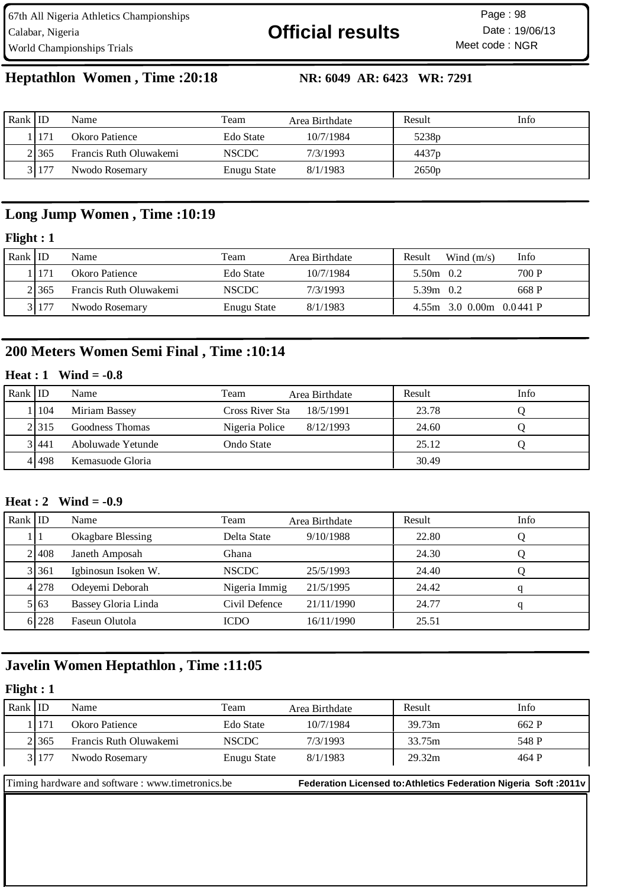67th All Nigeria Athletics Championships Calabar, Nigeria **19/06/13 Official results** Date : 19/06/13 World Championships Trials

Meet code: NGR Page: 98

# **Heptathlon Women , Time :20:18 NR: 6049 AR: 6423 WR: 7291**

| Rank ID |                | Name                   | Team         | Area Birthdate | Result            | Info |
|---------|----------------|------------------------|--------------|----------------|-------------------|------|
|         | <sup>171</sup> | Okoro Patience         | Edo State    | 10/7/1984      | 5238 <sub>p</sub> |      |
|         | 21365          | Francis Ruth Oluwakemi | <b>NSCDC</b> | 7/3/1993       | 4437 <sub>p</sub> |      |
|         | 31177          | Nwodo Rosemary         | Enugu State  | 8/1/1983       | 2650p             |      |

## **Long Jump Women , Time :10:19**

#### **Flight : 1**

| Rank   ID |       | Name                   | Team         | Area Birthdate | Result      | Wind $(m/s)$               | Info  |
|-----------|-------|------------------------|--------------|----------------|-------------|----------------------------|-------|
|           | 171   | Okoro Patience         | Edo State    | 10/7/1984      | 5.50m 0.2   |                            | 700 P |
|           | 21365 | Francis Ruth Oluwakemi | <b>NSCDC</b> | 7/3/1993       | 5.39m $0.2$ |                            | 668 P |
|           | 31177 | Nwodo Rosemary         | Enugu State  | 8/1/1983       |             | $4.55m$ 3.0 0.00m 0.0441 P |       |

# **200 Meters Women Semi Final , Time :10:14**

#### **Heat : 1 Wind = -0.8**

| Rank ID |       | Name              | Team            | Area Birthdate | Result | <b>Info</b> |
|---------|-------|-------------------|-----------------|----------------|--------|-------------|
|         | 104   | Miriam Bassey     | Cross River Sta | 18/5/1991      | 23.78  |             |
|         | 2.315 | Goodness Thomas   | Nigeria Police  | 8/12/1993      | 24.60  |             |
|         | 3 441 | Aboluwade Yetunde | Ondo State      |                | 25.12  |             |
|         | 41498 | Kemasuode Gloria  |                 |                | 30.49  |             |

#### **Heat : 2 Wind = -0.9**

| Rank $ $ ID |         | Name                     | Team          | Area Birthdate | Result | Info |
|-------------|---------|--------------------------|---------------|----------------|--------|------|
|             |         | <b>Okagbare Blessing</b> | Delta State   | 9/10/1988      | 22.80  |      |
|             | 21408   | Janeth Amposah           | Ghana         |                | 24.30  |      |
|             | 3 361   | Igbinosun Isoken W.      | <b>NSCDC</b>  | 25/5/1993      | 24.40  |      |
|             | 4 278   | Odeyemi Deborah          | Nigeria Immig | 21/5/1995      | 24.42  |      |
|             | 5 6 6 3 | Bassey Gloria Linda      | Civil Defence | 21/11/1990     | 24.77  |      |
|             | 6 228   | Faseun Olutola           | <b>ICDO</b>   | 16/11/1990     | 25.51  |      |

## **Javelin Women Heptathlon , Time :11:05**

### **Flight : 1**

| Rank ID |         | Name                                             | Team         | Area Birthdate | Result                                                            | Info  |
|---------|---------|--------------------------------------------------|--------------|----------------|-------------------------------------------------------------------|-------|
|         | l I 171 | Okoro Patience                                   | Edo State    | 10/7/1984      | 39.73m                                                            | 662 P |
|         | 2.365   | Francis Ruth Oluwakemi                           | <b>NSCDC</b> | 7/3/1993       | 33.75m                                                            | 548 P |
|         | 3 177   | Nwodo Rosemary                                   | Enugu State  | 8/1/1983       | 29.32m                                                            | 464 P |
|         |         |                                                  |              |                |                                                                   |       |
|         |         | Timing hardware and software: www.timetronics.be |              |                | Federation Licensed to: Athletics Federation Nigeria Soft : 2011v |       |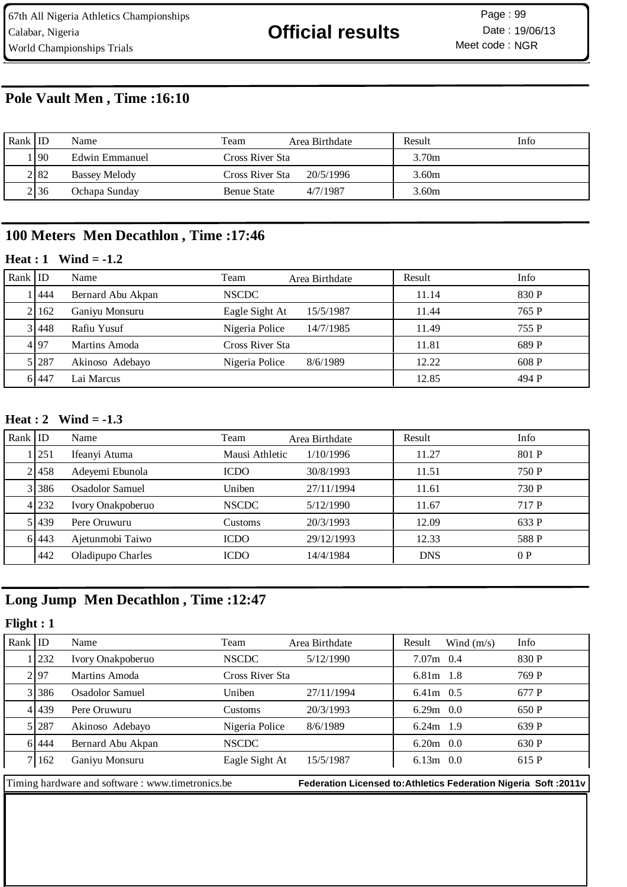## **Pole Vault Men , Time :16:10**

| Rank ID |            | Name                 | Team               | Area Birthdate | Result | Info |
|---------|------------|----------------------|--------------------|----------------|--------|------|
|         | <b>190</b> | Edwin Emmanuel       | Cross River Sta    |                | 3.70m  |      |
|         | 2 82       | <b>Bassey Melody</b> | Cross River Sta    | 20/5/1996      | 3.60m  |      |
|         | 2 36       | Ochapa Sunday        | <b>Benue State</b> | 4/7/1987       | 3.60m  |      |

## **100 Meters Men Decathlon , Time :17:46**

### **Heat : 1 Wind = -1.2**

| Rank ID |       | Name              | Team            | Area Birthdate | Result | Info  |
|---------|-------|-------------------|-----------------|----------------|--------|-------|
|         | 444   | Bernard Abu Akpan | <b>NSCDC</b>    |                | 11.14  | 830 P |
|         | 2 162 | Ganiyu Monsuru    | Eagle Sight At  | 15/5/1987      | 11.44  | 765 P |
|         | 3 448 | Rafiu Yusuf       | Nigeria Police  | 14/7/1985      | 11.49  | 755 P |
|         | 4 97  | Martins Amoda     | Cross River Sta |                | 11.81  | 689 P |
|         | 5 287 | Akinoso Adebayo   | Nigeria Police  | 8/6/1989       | 12.22  | 608 P |
|         | 6 447 | Lai Marcus        |                 |                | 12.85  | 494 P |

#### **Heat : 2 Wind = -1.3**

| Rank $ $ ID |           | Name              | Team           | Area Birthdate | Result     | Info  |
|-------------|-----------|-------------------|----------------|----------------|------------|-------|
|             | 1251      | Ifeanyi Atuma     | Mausi Athletic | 1/10/1996      | 11.27      | 801 P |
|             | 2458      | Adeyemi Ebunola   | <b>ICDO</b>    | 30/8/1993      | 11.51      | 750 P |
|             | 3 3 3 8 6 | Osadolor Samuel   | Uniben         | 27/11/1994     | 11.61      | 730 P |
|             | 4 232     | Ivory Onakpoberuo | <b>NSCDC</b>   | 5/12/1990      | 11.67      | 717 P |
|             | 51439     | Pere Oruwuru      | Customs        | 20/3/1993      | 12.09      | 633 P |
|             | 6 443     | Ajetunmobi Taiwo  | <b>ICDO</b>    | 29/12/1993     | 12.33      | 588 P |
|             | 442       | Oladipupo Charles | <b>ICDO</b>    | 14/4/1984      | <b>DNS</b> | 0P    |

# **Long Jump Men Decathlon , Time :12:47**

#### **Flight : 1**

| Rank $ $ ID |           | Name                                                                                                                    | Team                                                                     | Area Birthdate | Result      | Wind $(m/s)$ | Info  |
|-------------|-----------|-------------------------------------------------------------------------------------------------------------------------|--------------------------------------------------------------------------|----------------|-------------|--------------|-------|
|             | 1232      | Ivory Onakpoberuo                                                                                                       | <b>NSCDC</b>                                                             | 5/12/1990      | $7.07m$ 0.4 |              | 830 P |
|             | 2197      | Martins Amoda                                                                                                           | Cross River Sta                                                          |                | $6.81m$ 1.8 |              | 769 P |
|             | 3 3 3 8 6 | Osadolor Samuel                                                                                                         | Uniben                                                                   | 27/11/1994     | $6.41m$ 0.5 |              | 677 P |
|             | 4 439     | Pere Oruwuru                                                                                                            | Customs                                                                  | 20/3/1993      | $6.29m$ 0.0 |              | 650 P |
|             | 5 287     | Akinoso Adebayo                                                                                                         | Nigeria Police                                                           | 8/6/1989       | $6.24m$ 1.9 |              | 639 P |
|             | 6 444     | Bernard Abu Akpan                                                                                                       | <b>NSCDC</b>                                                             |                | $6.20m$ 0.0 |              | 630 P |
|             | 7   162   | Ganiyu Monsuru                                                                                                          | Eagle Sight At                                                           | 15/5/1987      | $6.13m$ 0.0 |              | 615 P |
|             |           | $\mathbf{F}$ . The state of the state of $\mathbf{A}$ is $\mathbf{G}$ . The state of the state of state $\mathbf{L}$ is | Exploration I to consider Additional Exploration Alternation Andromadure |                |             |              |       |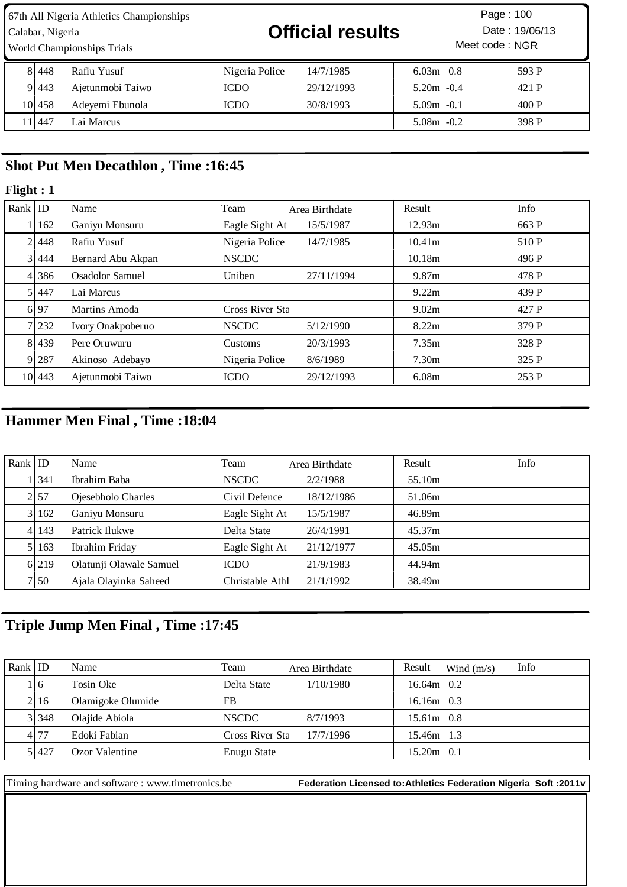World Championships Trials

Calabar, Nigeria **19/06/13 Official results** Date : 19/06/13

Meet code: NGR Page :

| 81448  | Rafiu Yusuf      | Nigeria Police | 14/7/1985  | $6.03m$ 0.8   | 593 P |
|--------|------------------|----------------|------------|---------------|-------|
| 91443  | Ajetunmobi Taiwo | ICDO           | 29/12/1993 | $5.20m - 0.4$ | 421 P |
| 101458 | Adevemi Ebunola  | ICDO           | 30/8/1993  | $5.09m - 0.1$ | 400P  |
| 11447  | Lai Marcus       |                |            | $5.08m - 0.2$ | 398 P |

## **Shot Put Men Decathlon , Time :16:45**

### **Flight : 1**

| Rank $ $ ID |        | Name                   | Team            | Area Birthdate | Result            | Info  |
|-------------|--------|------------------------|-----------------|----------------|-------------------|-------|
|             | 162    | Ganiyu Monsuru         | Eagle Sight At  | 15/5/1987      | 12.93m            | 663 P |
|             | 21448  | Rafiu Yusuf            | Nigeria Police  | 14/7/1985      | 10.41m            | 510 P |
|             | 31444  | Bernard Abu Akpan      | <b>NSCDC</b>    |                | 10.18m            | 496 P |
|             | 4 386  | <b>Osadolor Samuel</b> | Uniben          | 27/11/1994     | 9.87m             | 478 P |
|             | 51447  | Lai Marcus             |                 |                | 9.22m             | 439 P |
|             | 6 97   | Martins Amoda          | Cross River Sta |                | 9.02m             | 427 P |
|             | 7 232  | Ivory Onakpoberuo      | <b>NSCDC</b>    | 5/12/1990      | 8.22m             | 379 P |
|             | 81439  | Pere Oruwuru           | Customs         | 20/3/1993      | 7.35m             | 328 P |
|             | 9 287  | Akinoso Adebayo        | Nigeria Police  | 8/6/1989       | 7.30 <sub>m</sub> | 325 P |
|             | 10 443 | Ajetunmobi Taiwo       | <b>ICDO</b>     | 29/12/1993     | 6.08m             | 253 P |

# **Hammer Men Final , Time :18:04**

| Rank $ ID$ |             | Name                    | Team            | Area Birthdate | Result | Info |
|------------|-------------|-------------------------|-----------------|----------------|--------|------|
|            | <b>1341</b> | Ibrahim Baba            | <b>NSCDC</b>    | 2/2/1988       | 55.10m |      |
|            | 2 57        | Ojesebholo Charles      | Civil Defence   | 18/12/1986     | 51.06m |      |
|            | 31162       | Ganiyu Monsuru          | Eagle Sight At  | 15/5/1987      | 46.89m |      |
|            | 4 143       | Patrick Ilukwe          | Delta State     | 26/4/1991      | 45.37m |      |
|            | 5 1 1 6 3   | Ibrahim Friday          | Eagle Sight At  | 21/12/1977     | 45.05m |      |
|            | 6 219       | Olatunji Olawale Samuel | <b>ICDO</b>     | 21/9/1983      | 44.94m |      |
|            | 7150        | Ajala Olayinka Saheed   | Christable Athl | 21/1/1992      | 38.49m |      |

# **Triple Jump Men Final , Time :17:45**

| Rank ID |       | Name              | Team            | Area Birthdate | Result       | Wind $(m/s)$ | Info |
|---------|-------|-------------------|-----------------|----------------|--------------|--------------|------|
|         | .16   | Tosin Oke         | Delta State     | 1/10/1980      | $16.64m$ 0.2 |              |      |
|         | 2116  | Olamigoke Olumide | FB              |                | $16.16m$ 0.3 |              |      |
|         | 3 348 | Olajide Abiola    | <b>NSCDC</b>    | 8/7/1993       | $15.61m$ 0.8 |              |      |
|         | 4 77  | Edoki Fabian      | Cross River Sta | 17/7/1996      | 15.46m 1.3   |              |      |
|         | 5 427 | Ozor Valentine    | Enugu State     |                | 15.20m 0.1   |              |      |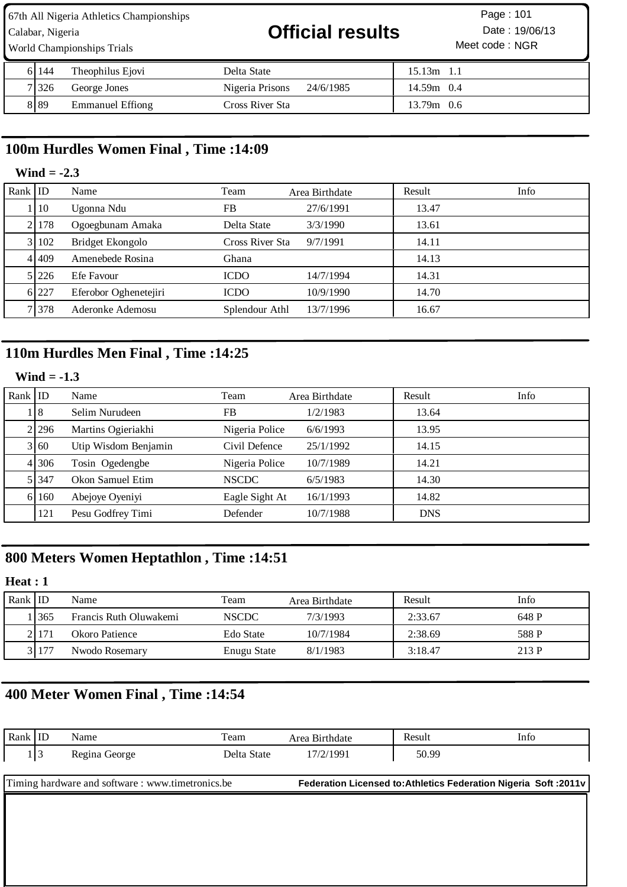67th All Nigeria Athletics Championships Calabar, Nigeria **19/06/13 Official results** Date : 19/06/13 World Championships Trials

| 6 144   | Theophilus Ejovi        | Delta State                  | 15.13m       |
|---------|-------------------------|------------------------------|--------------|
| 7 326   | George Jones            | Nigeria Prisons<br>24/6/1985 | $14.59m$ 0.4 |
| 8 8 8 9 | <b>Emmanuel Effiong</b> | Cross River Sta              | $13.79m$ 0.6 |

# **100m Hurdles Women Final , Time :14:09**

#### **Wind = -2.3**

| Rank $ $ ID |       | Name                  | Team            | Area Birthdate | Result | Info |
|-------------|-------|-----------------------|-----------------|----------------|--------|------|
|             | 10    | Ugonna Ndu            | FB              | 27/6/1991      | 13.47  |      |
|             | 21178 | Ogoegbunam Amaka      | Delta State     | 3/3/1990       | 13.61  |      |
|             | 3 102 | Bridget Ekongolo      | Cross River Sta | 9/7/1991       | 14.11  |      |
|             | 41409 | Amenebede Rosina      | Ghana           |                | 14.13  |      |
|             | 5 226 | Efe Favour            | <b>ICDO</b>     | 14/7/1994      | 14.31  |      |
|             | 6 227 | Eferobor Oghenetejiri | <b>ICDO</b>     | 10/9/1990      | 14.70  |      |
|             | 1378  | Aderonke Ademosu      | Splendour Athl  | 13/7/1996      | 16.67  |      |

# **110m Hurdles Men Final , Time :14:25**

### **Wind = -1.3**

| Rank $ $ ID |         | Name                 | Team           | Area Birthdate | Result     | Info |
|-------------|---------|----------------------|----------------|----------------|------------|------|
|             | 18      | Selim Nurudeen       | FB             | 1/2/1983       | 13.64      |      |
|             | 2 296   | Martins Ogieriakhi   | Nigeria Police | 6/6/1993       | 13.95      |      |
|             | 3 60    | Utip Wisdom Benjamin | Civil Defence  | 25/1/1992      | 14.15      |      |
|             | 4 306   | Tosin Ogedengbe      | Nigeria Police | 10/7/1989      | 14.21      |      |
|             | 5 3 4 7 | Okon Samuel Etim     | <b>NSCDC</b>   | 6/5/1983       | 14.30      |      |
|             | 6 16 0  | Abejoye Oyeniyi      | Eagle Sight At | 16/1/1993      | 14.82      |      |
|             | 121     | Pesu Godfrey Timi    | Defender       | 10/7/1988      | <b>DNS</b> |      |

## **800 Meters Women Heptathlon , Time :14:51**

## **Heat : 1**

| Rank ID |       | Name                   | Team         | Area Birthdate | Result  | Info  |
|---------|-------|------------------------|--------------|----------------|---------|-------|
|         | 365   | Francis Ruth Oluwakemi | <b>NSCDC</b> | 7/3/1993       | 2:33.67 | 648 P |
|         | 21171 | Okoro Patience         | Edo State    | 10/7/1984      | 2:38.69 | 588 P |
|         | 3 177 | Nwodo Rosemary         | Enugu State  | 8/1/1983       | 3:18.47 | 213 P |

# **400 Meter Women Final , Time :14:54**

| Rank ID                                          |       | Name          | Team        | Area Birthdate | Result | Info                                                              |  |
|--------------------------------------------------|-------|---------------|-------------|----------------|--------|-------------------------------------------------------------------|--|
|                                                  | 1   3 | Regina George | Delta State | 17/2/1991      | 50.99  |                                                                   |  |
|                                                  |       |               |             |                |        |                                                                   |  |
| Timing hardware and software: www.timetronics.be |       |               |             |                |        |                                                                   |  |
|                                                  |       |               |             |                |        | Federation Licensed to: Athletics Federation Nigeria Soft : 2011v |  |
|                                                  |       |               |             |                |        |                                                                   |  |
|                                                  |       |               |             |                |        |                                                                   |  |
|                                                  |       |               |             |                |        |                                                                   |  |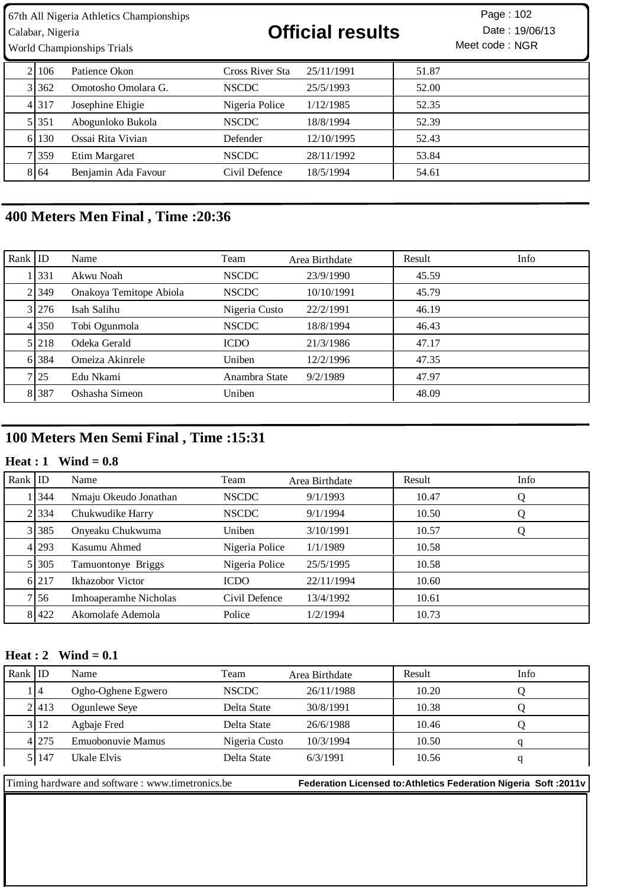World Championships Trials

Calabar, Nigeria **19/06/13 Official results** Date : 19/06/13

Meet code: NGR Page :

| 21106   | Patience Okon       | Cross River Sta | 25/11/1991 | 51.87 |
|---------|---------------------|-----------------|------------|-------|
| 31362   | Omotosho Omolara G. | <b>NSCDC</b>    | 25/5/1993  | 52.00 |
| 4 3 1 7 | Josephine Ehigie    | Nigeria Police  | 1/12/1985  | 52.35 |
| 5 3 3 1 | Abogunloko Bukola   | <b>NSCDC</b>    | 18/8/1994  | 52.39 |
| 6 130   | Ossai Rita Vivian   | Defender        | 12/10/1995 | 52.43 |
| 7 359   | Etim Margaret       | <b>NSCDC</b>    | 28/11/1992 | 53.84 |
| 8 64    | Benjamin Ada Favour | Civil Defence   | 18/5/1994  | 54.61 |

# **400 Meters Men Final , Time :20:36**

| Rank $ $ ID |         | Name                    | Team          | Area Birthdate | Result | Info |
|-------------|---------|-------------------------|---------------|----------------|--------|------|
|             | 1 3 3 1 | Akwu Noah               | <b>NSCDC</b>  | 23/9/1990      | 45.59  |      |
|             | 2 349   | Onakoya Temitope Abiola | <b>NSCDC</b>  | 10/10/1991     | 45.79  |      |
|             | 3 276   | Isah Salihu             | Nigeria Custo | 22/2/1991      | 46.19  |      |
|             | 4 350   | Tobi Ogunmola           | <b>NSCDC</b>  | 18/8/1994      | 46.43  |      |
|             | 5 2 1 8 | Odeka Gerald            | <b>ICDO</b>   | 21/3/1986      | 47.17  |      |
|             | 6 384   | Omeiza Akinrele         | Uniben        | 12/2/1996      | 47.35  |      |
|             | 7 25    | Edu Nkami               | Anambra State | 9/2/1989       | 47.97  |      |
|             | 8 387   | Oshasha Simeon          | Uniben        |                | 48.09  |      |

# **100 Meters Men Semi Final , Time :15:31**

## **Heat : 1 Wind = 0.8**

| Rank $ $ ID |         | Name                         | Team           | Area Birthdate | Result | Info |
|-------------|---------|------------------------------|----------------|----------------|--------|------|
|             | 1344    | Nmaju Okeudo Jonathan        | <b>NSCDC</b>   | 9/1/1993       | 10.47  | Q    |
|             | 2.334   | Chukwudike Harry             | <b>NSCDC</b>   | 9/1/1994       | 10.50  | Q    |
|             | 3 385   | Onyeaku Chukwuma             | Uniben         | 3/10/1991      | 10.57  | Q    |
|             | 4 29 3  | Kasumu Ahmed                 | Nigeria Police | 1/1/1989       | 10.58  |      |
|             | 5 305   | Tamuontonye Briggs           | Nigeria Police | 25/5/1995      | 10.58  |      |
|             | 6 217   | Ikhazobor Victor             | <b>ICDO</b>    | 22/11/1994     | 10.60  |      |
|             | 7 5 6   | <b>Imhoaperamhe Nicholas</b> | Civil Defence  | 13/4/1992      | 10.61  |      |
|             | 8 4 2 2 | Akomolafe Ademola            | Police         | 1/2/1994       | 10.73  |      |

#### **Heat : 2 Wind = 0.1**

| Rank ID |       | Name               | Team          | Area Birthdate | Result | Info |
|---------|-------|--------------------|---------------|----------------|--------|------|
|         | . 14  | Ogho-Oghene Egwero | <b>NSCDC</b>  | 26/11/1988     | 10.20  |      |
|         | 2.413 | Ogunlewe Seye      | Delta State   | 30/8/1991      | 10.38  |      |
|         | 3 12  | Agbaje Fred        | Delta State   | 26/6/1988      | 10.46  |      |
|         | 4 275 | Emuobonuvie Mamus  | Nigeria Custo | 10/3/1994      | 10.50  |      |
|         | 5 147 | Ukale Elvis        | Delta State   | 6/3/1991       | 10.56  |      |
|         |       |                    |               |                |        |      |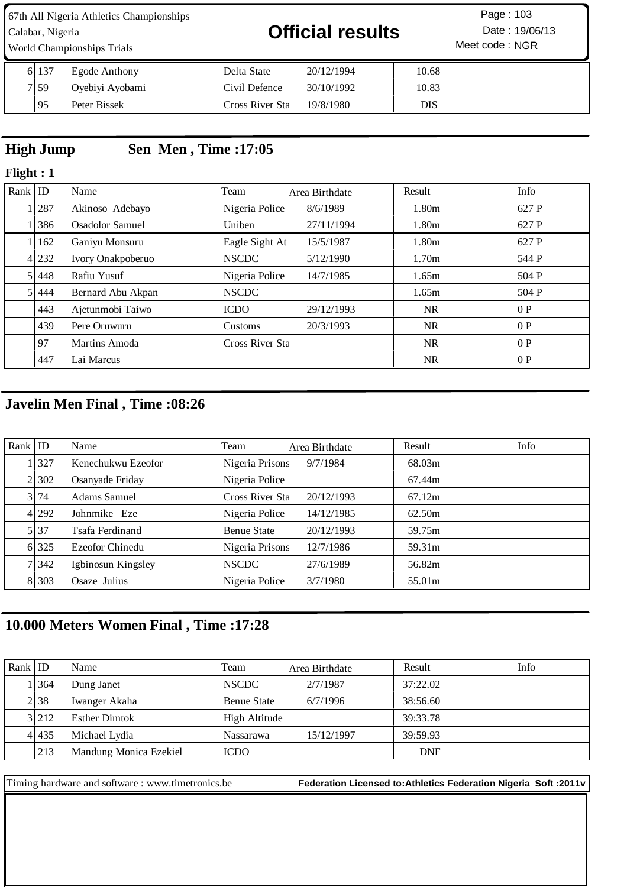67th All Nigeria Athletics Championships Calabar, Nigeria **19/06/13 Official results** Date : 19/06/13

Meet code : NGR Page :

| 61 137 | Egode Anthony   | Delta State     | 20/12/1994 | 10.68 |
|--------|-----------------|-----------------|------------|-------|
| 7 59   | Oyebiyi Ayobami | Civil Defence   | 30/10/1992 | 10.83 |
| -95    | Peter Bissek    | Cross River Sta | 19/8/1980  | DIS   |

# **High Jump Sen Men , Time :17:05**

World Championships Trials

### **Flight : 1**

| Rank $ $ ID |         | Name                   | Team            | Area Birthdate | Result            | Info  |
|-------------|---------|------------------------|-----------------|----------------|-------------------|-------|
|             | 287     | Akinoso Adebayo        | Nigeria Police  | 8/6/1989       | 1.80m             | 627 P |
|             | 386     | <b>Osadolor Samuel</b> | Uniben          | 27/11/1994     | 1.80m             | 627 P |
|             | 1   162 | Ganiyu Monsuru         | Eagle Sight At  | 15/5/1987      | 1.80m             | 627 P |
|             | 4 232   | Ivory Onakpoberuo      | <b>NSCDC</b>    | 5/12/1990      | 1.70 <sub>m</sub> | 544 P |
|             | 51448   | Rafiu Yusuf            | Nigeria Police  | 14/7/1985      | 1.65m             | 504 P |
|             | 5 444   | Bernard Abu Akpan      | <b>NSCDC</b>    |                | 1.65m             | 504 P |
|             | 443     | Ajetunmobi Taiwo       | <b>ICDO</b>     | 29/12/1993     | NR.               | 0P    |
|             | 439     | Pere Oruwuru           | Customs         | 20/3/1993      | NR.               | 0P    |
|             | 97      | Martins Amoda          | Cross River Sta |                | <b>NR</b>         | 0P    |
|             | 447     | Lai Marcus             |                 |                | <b>NR</b>         | 0P    |

# **Javelin Men Final , Time :08:26**

| Rank $ $ ID |                   | Name               | Team               | Area Birthdate | Result | Info |
|-------------|-------------------|--------------------|--------------------|----------------|--------|------|
|             | $\overline{1327}$ | Kenechukwu Ezeofor | Nigeria Prisons    | 9/7/1984       | 68.03m |      |
|             | 2.302             | Osanyade Friday    | Nigeria Police     |                | 67.44m |      |
|             | 3 74              | Adams Samuel       | Cross River Sta    | 20/12/1993     | 67.12m |      |
|             | 4 292             | Johnmike Eze       | Nigeria Police     | 14/12/1985     | 62.50m |      |
|             | 5 37              | Tsafa Ferdinand    | <b>Benue State</b> | 20/12/1993     | 59.75m |      |
|             | 6 325             | Ezeofor Chinedu    | Nigeria Prisons    | 12/7/1986      | 59.31m |      |
|             | 7 342             | Igbinosun Kingsley | <b>NSCDC</b>       | 27/6/1989      | 56.82m |      |
|             | 8 3 0 3           | Osaze Julius       | Nigeria Police     | 3/7/1980       | 55.01m |      |

# **10.000 Meters Women Final , Time :17:28**

| Rank ID |       | Name                   | Team               | Area Birthdate | Result     | Info |
|---------|-------|------------------------|--------------------|----------------|------------|------|
|         | .1364 | Dung Janet             | <b>NSCDC</b>       | 2/7/1987       | 37:22.02   |      |
|         | 2.38  | Iwanger Akaha          | <b>Benue State</b> | 6/7/1996       | 38:56.60   |      |
|         | 3 212 | <b>Esther Dimtok</b>   | High Altitude      |                | 39:33.78   |      |
|         | 41435 | Michael Lydia          | Nassarawa          | 15/12/1997     | 39:59.93   |      |
|         | 213   | Mandung Monica Ezekiel | <b>ICDO</b>        |                | <b>DNF</b> |      |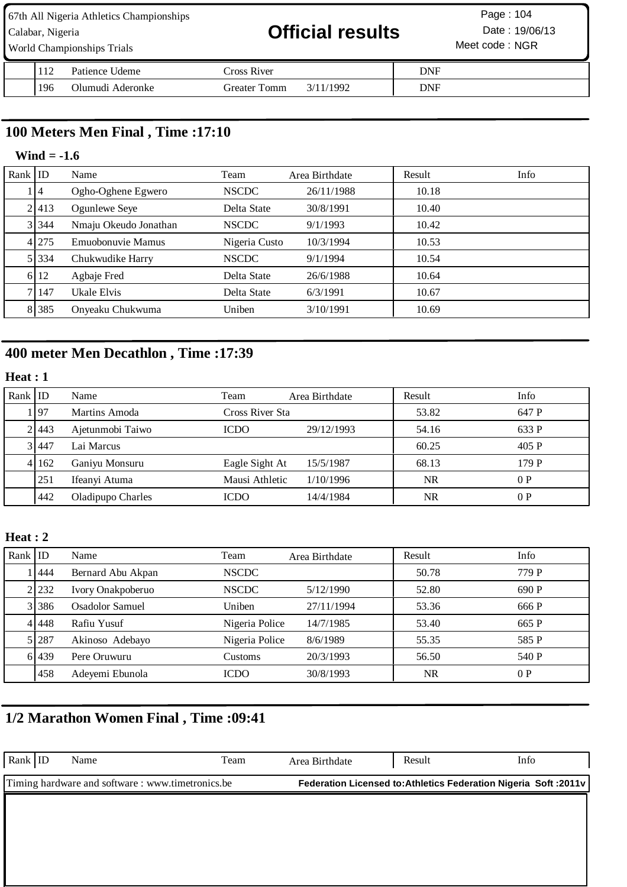| 67th All Nigeria Athletics Championships<br>Calabar, Nigeria<br><b>World Championships Trials</b> |     |                  | <b>Official results</b>   |            | Page: 104<br>Date: 19/06/13<br>Meet code: NGR |  |
|---------------------------------------------------------------------------------------------------|-----|------------------|---------------------------|------------|-----------------------------------------------|--|
|                                                                                                   | 112 | Patience Udeme   | Cross River               | <b>DNF</b> |                                               |  |
|                                                                                                   | 196 | Olumudi Aderonke | Greater Tomm<br>3/11/1992 | <b>DNF</b> |                                               |  |

# **100 Meters Men Final , Time :17:10**

### **Wind = -1.6**

| $Rank$ ID |       | Name                  | Team          | Area Birthdate | Result | Info |
|-----------|-------|-----------------------|---------------|----------------|--------|------|
|           | 14    | Ogho-Oghene Egwero    | <b>NSCDC</b>  | 26/11/1988     | 10.18  |      |
|           | 2 413 | Ogunlewe Seye         | Delta State   | 30/8/1991      | 10.40  |      |
|           | 3 344 | Nmaju Okeudo Jonathan | <b>NSCDC</b>  | 9/1/1993       | 10.42  |      |
|           | 4 275 | Emuobonuvie Mamus     | Nigeria Custo | 10/3/1994      | 10.53  |      |
|           | 5 334 | Chukwudike Harry      | <b>NSCDC</b>  | 9/1/1994       | 10.54  |      |
|           | 6 12  | Agbaje Fred           | Delta State   | 26/6/1988      | 10.64  |      |
|           | 7147  | Ukale Elvis           | Delta State   | 6/3/1991       | 10.67  |      |
|           | 8 385 | Onyeaku Chukwuma      | Uniben        | 3/10/1991      | 10.69  |      |

# **400 meter Men Decathlon , Time :17:39**

### **Heat : 1**

| Rank ID |           | Name              | Team            | Area Birthdate | Result    | Info  |
|---------|-----------|-------------------|-----------------|----------------|-----------|-------|
|         | 197       | Martins Amoda     | Cross River Sta |                | 53.82     | 647 P |
|         | 21443     | Ajetunmobi Taiwo  | <b>ICDO</b>     | 29/12/1993     | 54.16     | 633 P |
|         | 31447     | Lai Marcus        |                 |                | 60.25     | 405 P |
|         | 4 1 1 6 2 | Ganiyu Monsuru    | Eagle Sight At  | 15/5/1987      | 68.13     | 179 P |
|         | 251       | Ifeanyi Atuma     | Mausi Athletic  | 1/10/1996      | <b>NR</b> | 0P    |
|         | 442       | Oladipupo Charles | <b>ICDO</b>     | 14/4/1984      | NR        | 0P    |

### **Heat : 2**

| Rank $ $ ID |           | Name              | Team           | Area Birthdate | Result    | Info  |
|-------------|-----------|-------------------|----------------|----------------|-----------|-------|
|             | 444       | Bernard Abu Akpan | <b>NSCDC</b>   |                | 50.78     | 779 P |
|             | 2 232     | Ivory Onakpoberuo | <b>NSCDC</b>   | 5/12/1990      | 52.80     | 690 P |
|             | 3 3 3 8 6 | Osadolor Samuel   | Uniben         | 27/11/1994     | 53.36     | 666 P |
|             | 4 4 4 4 8 | Rafiu Yusuf       | Nigeria Police | 14/7/1985      | 53.40     | 665 P |
|             | 5 287     | Akinoso Adebayo   | Nigeria Police | 8/6/1989       | 55.35     | 585 P |
|             | 6 439     | Pere Oruwuru      | Customs        | 20/3/1993      | 56.50     | 540 P |
|             | 1458      | Adeyemi Ebunola   | <b>ICDO</b>    | 30/8/1993      | <b>NR</b> | 0P    |

# **1/2 Marathon Women Final , Time :09:41**

| Rank $ $ ID | Name                                              | Team | Area Birthdate | Result                                                           | Info |
|-------------|---------------------------------------------------|------|----------------|------------------------------------------------------------------|------|
|             | Timing hardware and software : www.timetronics.be |      |                | Federation Licensed to: Athletics Federation Nigeria Soft: 2011v |      |
|             |                                                   |      |                |                                                                  |      |
|             |                                                   |      |                |                                                                  |      |
|             |                                                   |      |                |                                                                  |      |
|             |                                                   |      |                |                                                                  |      |
|             |                                                   |      |                |                                                                  |      |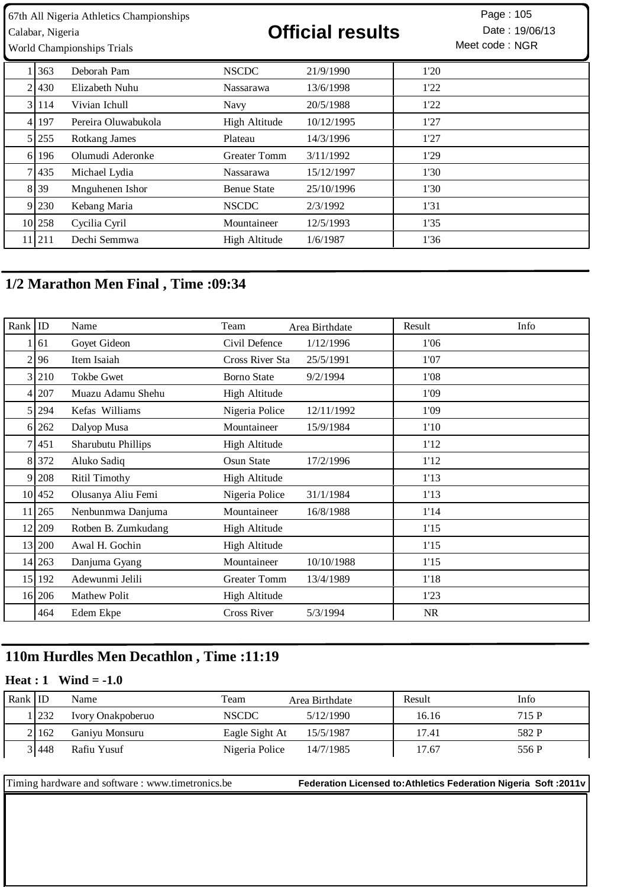| 67th All Nigeria Athletics Championships<br>Calabar, Nigeria<br><b>World Championships Trials</b> |         |                     | <b>Official results</b> |            |      | Page: 105<br>Date: 19/06/13<br>Meet code: NGR |
|---------------------------------------------------------------------------------------------------|---------|---------------------|-------------------------|------------|------|-----------------------------------------------|
|                                                                                                   | 363     | Deborah Pam         | <b>NSCDC</b>            | 21/9/1990  | 1'20 |                                               |
| $\overline{2}$                                                                                    | 430     | Elizabeth Nuhu      | <b>Nassarawa</b>        | 13/6/1998  | 1'22 |                                               |
|                                                                                                   | 31114   | Vivian Ichull       | <b>Navy</b>             | 20/5/1988  | 1'22 |                                               |
| 4                                                                                                 | 197     | Pereira Oluwabukola | High Altitude           | 10/12/1995 | 1'27 |                                               |
|                                                                                                   | 5 255   | Rotkang James       | Plateau                 | 14/3/1996  | 1'27 |                                               |
| 6 <sup>1</sup>                                                                                    | 196     | Olumudi Aderonke    | <b>Greater Tomm</b>     | 3/11/1992  | 1'29 |                                               |
|                                                                                                   | 7 4 3 5 | Michael Lydia       | <b>Nassarawa</b>        | 15/12/1997 | 1'30 |                                               |
|                                                                                                   | 8 39    | Mnguhenen Ishor     | <b>Benue State</b>      | 25/10/1996 | 1'30 |                                               |
|                                                                                                   | 9 230   | Kebang Maria        | <b>NSCDC</b>            | 2/3/1992   | 1'31 |                                               |
|                                                                                                   | 10 258  | Cycilia Cyril       | Mountaineer             | 12/5/1993  | 1'35 |                                               |
|                                                                                                   | 11 211  | Dechi Semmwa        | High Altitude           | 1/6/1987   | 1'36 |                                               |

# **1/2 Marathon Men Final , Time :09:34**

| Rank $ $ ID     |            | Name                | Team                 | Area Birthdate | Result    | Info |
|-----------------|------------|---------------------|----------------------|----------------|-----------|------|
|                 | 61         | Goyet Gideon        | Civil Defence        | 1/12/1996      | 1'06      |      |
| $\overline{2}$  | 96         | Item Isaiah         | Cross River Sta      | 25/5/1991      | 1'07      |      |
|                 | 3 210      | <b>Tokbe Gwet</b>   | <b>Borno State</b>   | 9/2/1994       | 1'08      |      |
|                 | 4 207      | Muazu Adamu Shehu   | High Altitude        |                | 1'09      |      |
|                 | 5 294      | Kefas Williams      | Nigeria Police       | 12/11/1992     | 1'09      |      |
|                 | 6 262      | Dalyop Musa         | Mountaineer          | 15/9/1984      | 1'10      |      |
|                 | 7 451      | Sharubutu Phillips  | High Altitude        |                | 1'12      |      |
| 81              | 372        | Aluko Sadiq         | Osun State           | 17/2/1996      | 1'12      |      |
| 9               | 208        | Ritil Timothy       | <b>High Altitude</b> |                | 1'13      |      |
|                 | 10 452     | Olusanya Aliu Femi  | Nigeria Police       | 31/1/1984      | 1'13      |      |
| 11 <sup> </sup> | 265        | Nenbunmwa Danjuma   | Mountaineer          | 16/8/1988      | 1'14      |      |
|                 | 12 209     | Rotben B. Zumkudang | High Altitude        |                | 1'15      |      |
|                 | 13 200     | Awal H. Gochin      | <b>High Altitude</b> |                | 1'15      |      |
|                 | 14 263     | Danjuma Gyang       | Mountaineer          | 10/10/1988     | 1'15      |      |
|                 | 15 192     | Adewunmi Jelili     | <b>Greater Tomm</b>  | 13/4/1989      | 1'18      |      |
|                 | $16$   206 | <b>Mathew Polit</b> | <b>High Altitude</b> |                | 1'23      |      |
|                 | 464        | Edem Ekpe           | <b>Cross River</b>   | 5/3/1994       | <b>NR</b> |      |

# **110m Hurdles Men Decathlon , Time :11:19**

#### **Heat : 1 Wind = -1.0**

| Rank ID |       | Name              | Team           | Area Birthdate | Result | Info  |
|---------|-------|-------------------|----------------|----------------|--------|-------|
|         | 232   | Ivory Onakpoberuo | <b>NSCDC</b>   | 5/12/1990      | 16.16  | 715 P |
|         | 21162 | Ganiyu Monsuru    | Eagle Sight At | 15/5/1987      | 17.41  | 582 P |
|         | 31448 | Rafiu Yusuf       | Nigeria Police | 14/7/1985      | 17.67  | 556 P |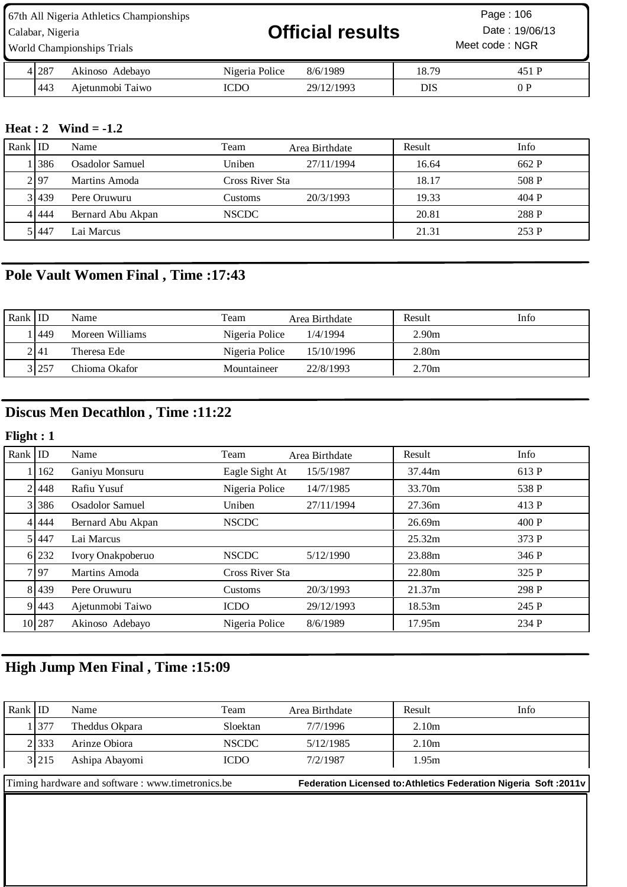| 67th All Nigeria Athletics Championships<br>Calabar, Nigeria<br>World Championships Trials |       |                  | <b>Official results</b><br>Meet code: NGR |            |       | Page: 106<br>Date: 19/06/13 |
|--------------------------------------------------------------------------------------------|-------|------------------|-------------------------------------------|------------|-------|-----------------------------|
|                                                                                            | 4 287 | Akinoso Adebayo  | Nigeria Police                            | 8/6/1989   | 18.79 | 451 P                       |
|                                                                                            | 443   | Ajetunmobi Taiwo | ICDO                                      | 29/12/1993 | DIS   | 0 P                         |

## **Heat : 2 Wind = -1.2**

| Rank ID |         | Name              | Team            | Area Birthdate | Result | Info  |
|---------|---------|-------------------|-----------------|----------------|--------|-------|
|         | 11386   | Osadolor Samuel   | Uniben          | 27/11/1994     | 16.64  | 662 P |
|         | 2.97    | Martins Amoda     | Cross River Sta |                | 18.17  | 508 P |
|         | 3 439   | Pere Oruwuru      | Customs         | 20/3/1993      | 19.33  | 404 P |
|         | 4   444 | Bernard Abu Akpan | <b>NSCDC</b>    |                | 20.81  | 288 P |
|         | 51447   | Lai Marcus        |                 |                | 21.31  | 253 P |

# **Pole Vault Women Final , Time :17:43**

| Rank ID |        | Name            | Team           | Area Birthdate | Result            | Info |
|---------|--------|-----------------|----------------|----------------|-------------------|------|
|         | 449    | Moreen Williams | Nigeria Police | 1/4/1994       | 2.90 <sub>m</sub> |      |
|         | 2   41 | Theresa Ede     | Nigeria Police | 15/10/1996     | 2.80m             |      |
|         | 3 257  | Chioma Okafor   | Mountaineer    | 22/8/1993      | 2.70 <sub>m</sub> |      |

# **Discus Men Decathlon , Time :11:22**

# **Flight : 1**

| Rank   ID |           | Name              | Team            | Area Birthdate | Result | Info  |
|-----------|-----------|-------------------|-----------------|----------------|--------|-------|
|           | 162       | Ganiyu Monsuru    | Eagle Sight At  | 15/5/1987      | 37.44m | 613 P |
|           | 21448     | Rafiu Yusuf       | Nigeria Police  | 14/7/1985      | 33.70m | 538 P |
|           | 3 386     | Osadolor Samuel   | Uniben          | 27/11/1994     | 27.36m | 413 P |
|           | 4 4 4 4 4 | Bernard Abu Akpan | <b>NSCDC</b>    |                | 26.69m | 400P  |
|           | 51447     | Lai Marcus        |                 |                | 25.32m | 373 P |
|           | 6 232     | Ivory Onakpoberuo | <b>NSCDC</b>    | 5/12/1990      | 23.88m | 346 P |
|           | 7.97      | Martins Amoda     | Cross River Sta |                | 22.80m | 325 P |
|           | 8 4 3 9   | Pere Oruwuru      | Customs         | 20/3/1993      | 21.37m | 298 P |
|           | 9 4 4 3   | Ajetunmobi Taiwo  | <b>ICDO</b>     | 29/12/1993     | 18.53m | 245 P |
|           | 10 287    | Akinoso Adebayo   | Nigeria Police  | 8/6/1989       | 17.95m | 234 P |

# **High Jump Men Final , Time :15:09**

| Rank ID                                          |       | Name           | Team                                                                    | Area Birthdate | Info<br>Result    |  |
|--------------------------------------------------|-------|----------------|-------------------------------------------------------------------------|----------------|-------------------|--|
|                                                  | 1 377 | Theddus Okpara | Sloektan                                                                | 7/7/1996       | 2.10 <sub>m</sub> |  |
|                                                  | 2.333 | Arinze Obiora  | <b>NSCDC</b>                                                            | 5/12/1985      | 2.10 <sub>m</sub> |  |
|                                                  | 3 215 | Ashipa Abayomi | <b>ICDO</b>                                                             | 7/2/1987       | 1.95m             |  |
| Timing hardware and software: www.timetronics.be |       |                | <b>Federation Licensed to: Athletics Federation Nigeria Soft: 2011v</b> |                |                   |  |
|                                                  |       |                |                                                                         |                |                   |  |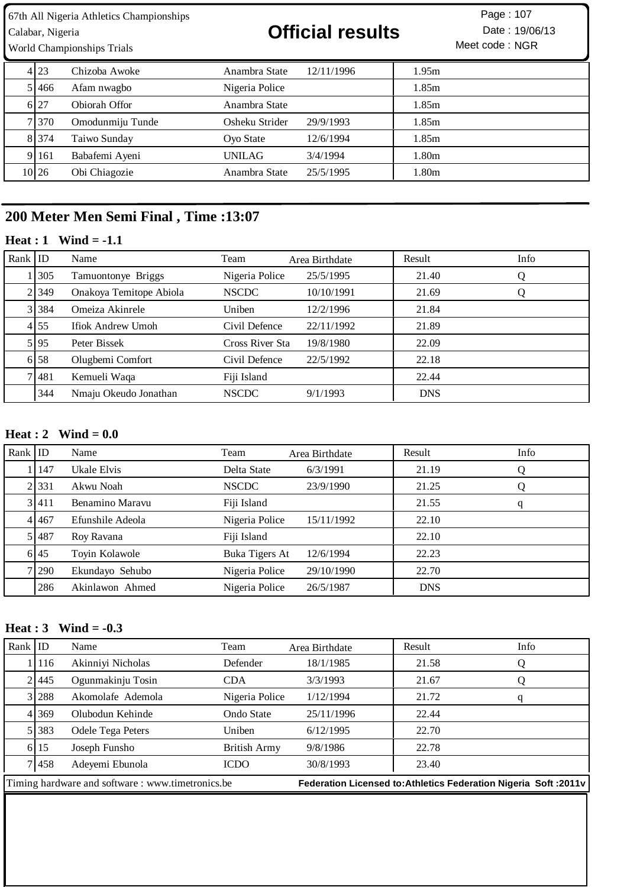Calabar, Nigeria **19/06/13 Official results** Date : 19/06/13

Meet code: NGR Page: 107

|       | World Championships Trials | Meet code: NGR |            |       |
|-------|----------------------------|----------------|------------|-------|
| 4 2 3 | Chizoba Awoke              | Anambra State  | 12/11/1996 | 1.95m |
| 5 466 | Afam nwagbo                | Nigeria Police |            | 1.85m |
| 6.27  | Obiorah Offor              | Anambra State  |            | 1.85m |
| 71370 | Omodunmiju Tunde           | Osheku Strider | 29/9/1993  | 1.85m |
| 8 374 | Taiwo Sunday               | Oyo State      | 12/6/1994  | 1.85m |
| 9 161 | Babafemi Ayeni             | UNILAG         | 3/4/1994   | 1.80m |
| 10 26 | Obi Chiagozie              | Anambra State  | 25/5/1995  | 1.80m |

# **200 Meter Men Semi Final , Time :13:07**

## **Heat : 1 Wind = -1.1**

| Rank $ $ ID |           | Name                    | Team            | Area Birthdate | Result     | Info |
|-------------|-----------|-------------------------|-----------------|----------------|------------|------|
|             | 1305      | Tamuontonye Briggs      | Nigeria Police  | 25/5/1995      | 21.40      | Ő    |
|             | 2 349     | Onakoya Temitope Abiola | <b>NSCDC</b>    | 10/10/1991     | 21.69      | Q    |
|             | 3 3 3 3 4 | Omeiza Akinrele         | Uniben          | 12/2/1996      | 21.84      |      |
|             | 4 55      | Ifiok Andrew Umoh       | Civil Defence   | 22/11/1992     | 21.89      |      |
|             | 5 95      | Peter Bissek            | Cross River Sta | 19/8/1980      | 22.09      |      |
|             | 6 58      | Olugbemi Comfort        | Civil Defence   | 22/5/1992      | 22.18      |      |
|             | 71481     | Kemueli Waqa            | Fiji Island     |                | 22.44      |      |
|             | 344       | Nmaju Okeudo Jonathan   | <b>NSCDC</b>    | 9/1/1993       | <b>DNS</b> |      |

### **Heat : 2 Wind = 0.0**

| Rank $ $ ID |             | Name             | Team           | Area Birthdate | Result     | Info |
|-------------|-------------|------------------|----------------|----------------|------------|------|
|             | 147         | Ukale Elvis      | Delta State    | 6/3/1991       | 21.19      | Q    |
|             | 2.331       | Akwu Noah        | <b>NSCDC</b>   | 23/9/1990      | 21.25      | Q    |
|             | 3 411       | Benamino Maravu  | Fiji Island    |                | 21.55      | q    |
|             | 4 4 4 4 5 7 | Efunshile Adeola | Nigeria Police | 15/11/1992     | 22.10      |      |
|             | 5 487       | Roy Ravana       | Fiji Island    |                | 22.10      |      |
|             | 6 45        | Toyin Kolawole   | Buka Tigers At | 12/6/1994      | 22.23      |      |
|             | 7.290       | Ekundayo Sehubo  | Nigeria Police | 29/10/1990     | 22.70      |      |
|             | 286         | Akinlawon Ahmed  | Nigeria Police | 26/5/1987      | <b>DNS</b> |      |

#### **Heat : 3 Wind = -0.3**

| Rank $ $ ID |                                                   | Name              | Team           | Area Birthdate | Result                                                            | Info |
|-------------|---------------------------------------------------|-------------------|----------------|----------------|-------------------------------------------------------------------|------|
|             | 116                                               | Akinniyi Nicholas | Defender       | 18/1/1985      | 21.58                                                             | Q    |
|             | 21445                                             | Ogunmakinju Tosin | <b>CDA</b>     | 3/3/1993       | 21.67                                                             |      |
|             | 3 288                                             | Akomolafe Ademola | Nigeria Police | 1/12/1994      | 21.72                                                             | q    |
|             | 4 369                                             | Olubodun Kehinde  | Ondo State     | 25/11/1996     | 22.44                                                             |      |
|             | 5 383                                             | Odele Tega Peters | Uniben         | 6/12/1995      | 22.70                                                             |      |
|             | 6 15                                              | Joseph Funsho     | British Army   | 9/8/1986       | 22.78                                                             |      |
|             | 7 4 5 8                                           | Adeyemi Ebunola   | <b>ICDO</b>    | 30/8/1993      | 23.40                                                             |      |
|             | Timing hardware and software : www.timetronics.be |                   |                |                | Federation Licensed to: Athletics Federation Nigeria Soft : 2011v |      |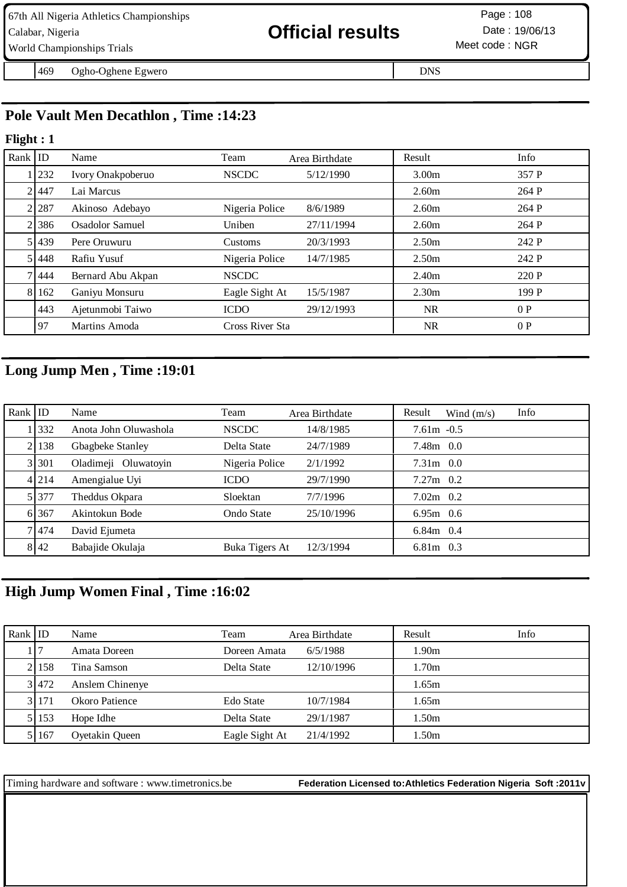| 67th All Nigeria Athletics Championships |                         | Page: 108       |
|------------------------------------------|-------------------------|-----------------|
| Calabar, Nigeria                         | <b>Official results</b> | Date: 19/06/13  |
| World Championships Trials               |                         | Meet code : NGR |

Ogho-Oghene Egwero DNS

# **Pole Vault Men Decathlon , Time :14:23**

#### **Flight : 1**

| Rank $ $ ID |           | Name              | Team            | Area Birthdate | Result            | Info  |
|-------------|-----------|-------------------|-----------------|----------------|-------------------|-------|
|             | 232       | Ivory Onakpoberuo | <b>NSCDC</b>    | 5/12/1990      | 3.00 <sub>m</sub> | 357 P |
|             | 21447     | Lai Marcus        |                 |                | 2.60 <sub>m</sub> | 264 P |
|             | 2 287     | Akinoso Adebayo   | Nigeria Police  | 8/6/1989       | 2.60 <sub>m</sub> | 264 P |
|             | 21386     | Osadolor Samuel   | Uniben          | 27/11/1994     | 2.60 <sub>m</sub> | 264 P |
|             | 51439     | Pere Oruwuru      | Customs         | 20/3/1993      | 2.50 <sub>m</sub> | 242 P |
|             | 51448     | Rafiu Yusuf       | Nigeria Police  | 14/7/1985      | 2.50 <sub>m</sub> | 242 P |
|             | 71444     | Bernard Abu Akpan | <b>NSCDC</b>    |                | 2.40 <sub>m</sub> | 220 P |
|             | 8 1 1 6 2 | Ganiyu Monsuru    | Eagle Sight At  | 15/5/1987      | 2.30 <sub>m</sub> | 199 P |
|             | 443       | Ajetunmobi Taiwo  | <b>ICDO</b>     | 29/12/1993     | <b>NR</b>         | 0P    |
|             | 97        | Martins Amoda     | Cross River Sta |                | <b>NR</b>         | 0P    |

# **Long Jump Men , Time :19:01**

| Rank $ $ ID |         | Name                  | Team              | Area Birthdate | Info<br>Result<br>Wind $(m/s)$ |
|-------------|---------|-----------------------|-------------------|----------------|--------------------------------|
|             | 1332    | Anota John Oluwashola | <b>NSCDC</b>      | 14/8/1985      | $7.61m - 0.5$                  |
|             | 2   138 | Gbagbeke Stanley      | Delta State       | 24/7/1989      | $7.48m$ 0.0                    |
|             | 3 301   | Oladimeji Oluwatoyin  | Nigeria Police    | 2/1/1992       | $7.31m$ 0.0                    |
|             | 4 214   | Amengialue Uyi        | <b>ICDO</b>       | 29/7/1990      | $7.27m$ 0.2                    |
|             | 5 377   | Theddus Okpara        | Sloektan          | 7/7/1996       | $7.02m$ 0.2                    |
|             | 6 367   | Akintokun Bode        | <b>Ondo State</b> | 25/10/1996     | $6.95m$ 0.6                    |
|             | 7 4 7 4 | David Ejumeta         |                   |                | $6.84m$ 0.4                    |
|             | 8142    | Babajide Okulaja      | Buka Tigers At    | 12/3/1994      | $6.81m$ 0.3                    |

# **High Jump Women Final , Time :16:02**

| Rank $ $ ID |       | Name            | Team           | Area Birthdate | Result            | Info |
|-------------|-------|-----------------|----------------|----------------|-------------------|------|
|             |       | Amata Doreen    | Doreen Amata   | 6/5/1988       | 1.90 <sub>m</sub> |      |
|             | 2.158 | Tina Samson     | Delta State    | 12/10/1996     | 1.70m             |      |
|             | 3 472 | Anslem Chinenye |                |                | 1.65m             |      |
|             | 3.171 | Okoro Patience  | Edo State      | 10/7/1984      | 1.65m             |      |
|             | 5 153 | Hope Idhe       | Delta State    | 29/1/1987      | 1.50m             |      |
|             | 5 167 | Oyetakin Queen  | Eagle Sight At | 21/4/1992      | 1.50m             |      |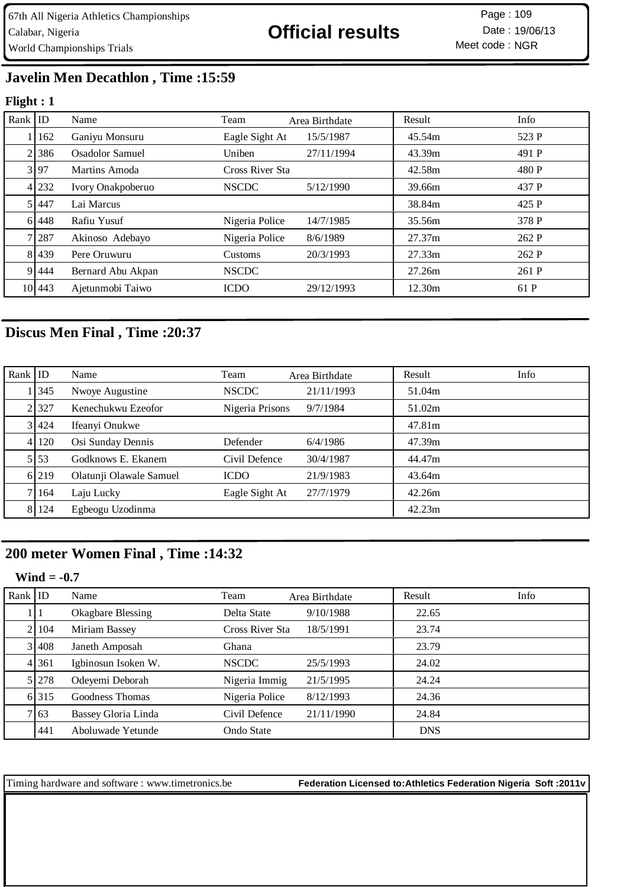Meet code: NGR Page: 109

# **Javelin Men Decathlon , Time :15:59**

### **Flight : 1**

| Rank $ $ ID |         | Name              | Team            | Area Birthdate | Result | Info  |
|-------------|---------|-------------------|-----------------|----------------|--------|-------|
|             | 162     | Ganiyu Monsuru    | Eagle Sight At  | 15/5/1987      | 45.54m | 523 P |
|             | 2.386   | Osadolor Samuel   | Uniben          | 27/11/1994     | 43.39m | 491 P |
|             | 3 97    | Martins Amoda     | Cross River Sta |                | 42.58m | 480 P |
|             | 4 232   | Ivory Onakpoberuo | <b>NSCDC</b>    | 5/12/1990      | 39.66m | 437 P |
|             | 5 447   | Lai Marcus        |                 |                | 38.84m | 425 P |
|             | 6 4 4 8 | Rafiu Yusuf       | Nigeria Police  | 14/7/1985      | 35.56m | 378 P |
|             | 7 287   | Akinoso Adebayo   | Nigeria Police  | 8/6/1989       | 27.37m | 262 P |
|             | 81439   | Pere Oruwuru      | Customs         | 20/3/1993      | 27.33m | 262 P |
|             | 9 444   | Bernard Abu Akpan | <b>NSCDC</b>    |                | 27.26m | 261 P |
|             | 10 443  | Ajetunmobi Taiwo  | <b>ICDO</b>     | 29/12/1993     | 12.30m | 61 P  |

# **Discus Men Final , Time :20:37**

| Rank $ $ ID |         | Name                    | Team            | Area Birthdate | Result | Info |
|-------------|---------|-------------------------|-----------------|----------------|--------|------|
|             | 1345    | Nwoye Augustine         | <b>NSCDC</b>    | 21/11/1993     | 51.04m |      |
|             | 2.327   | Kenechukwu Ezeofor      | Nigeria Prisons | 9/7/1984       | 51.02m |      |
|             | 3 424   | Ifeanyi Onukwe          |                 |                | 47.81m |      |
|             | 4 120   | Osi Sunday Dennis       | Defender        | 6/4/1986       | 47.39m |      |
|             | 5 53    | Godknows E. Ekanem      | Civil Defence   | 30/4/1987      | 44.47m |      |
|             | 6 219   | Olatunji Olawale Samuel | <b>ICDO</b>     | 21/9/1983      | 43.64m |      |
|             | 7 164   | Laju Lucky              | Eagle Sight At  | 27/7/1979      | 42.26m |      |
|             | 8 1 2 4 | Egbeogu Uzodinma        |                 |                | 42.23m |      |

# **200 meter Women Final , Time :14:32**

#### **Wind = -0.7**

| Rank $ $ ID |       | Name                     | Team            | Area Birthdate | Result     | Info |
|-------------|-------|--------------------------|-----------------|----------------|------------|------|
|             |       | <b>Okagbare Blessing</b> | Delta State     | 9/10/1988      | 22.65      |      |
|             | 21104 | Miriam Bassey            | Cross River Sta | 18/5/1991      | 23.74      |      |
|             | 3 408 | Janeth Amposah           | Ghana           |                | 23.79      |      |
|             | 4 361 | Igbinosun Isoken W.      | <b>NSCDC</b>    | 25/5/1993      | 24.02      |      |
|             | 5 278 | Odeyemi Deborah          | Nigeria Immig   | 21/5/1995      | 24.24      |      |
|             | 6 315 | Goodness Thomas          | Nigeria Police  | 8/12/1993      | 24.36      |      |
|             | 7 63  | Bassey Gloria Linda      | Civil Defence   | 21/11/1990     | 24.84      |      |
|             | 441   | Aboluwade Yetunde        | Ondo State      |                | <b>DNS</b> |      |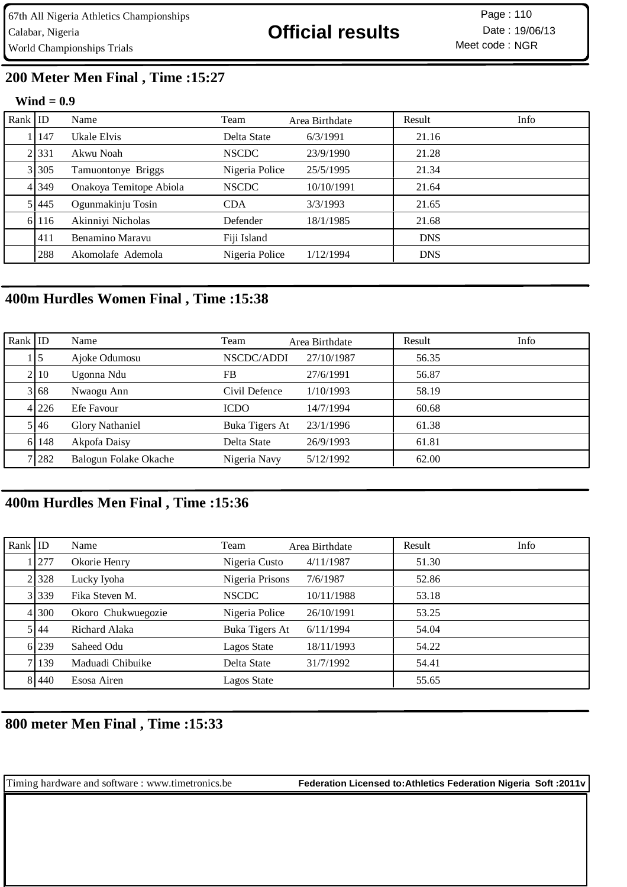Meet code: NGR Page :

# **200 Meter Men Final , Time :15:27**

#### **Wind = 0.9**

| Rank $ $ ID |         | Name                    | Team           | Area Birthdate | Result     | Info |
|-------------|---------|-------------------------|----------------|----------------|------------|------|
|             | 147     | Ukale Elvis             | Delta State    | 6/3/1991       | 21.16      |      |
|             | 2.331   | Akwu Noah               | <b>NSCDC</b>   | 23/9/1990      | 21.28      |      |
|             | 3 305   | Tamuontonye Briggs      | Nigeria Police | 25/5/1995      | 21.34      |      |
|             | 4 3 4 9 | Onakoya Temitope Abiola | <b>NSCDC</b>   | 10/10/1991     | 21.64      |      |
|             | 5 445   | Ogunmakinju Tosin       | <b>CDA</b>     | 3/3/1993       | 21.65      |      |
|             | 6 116   | Akinniyi Nicholas       | Defender       | 18/1/1985      | 21.68      |      |
|             | 411     | Benamino Maravu         | Fiji Island    |                | <b>DNS</b> |      |
|             | 288     | Akomolafe Ademola       | Nigeria Police | 1/12/1994      | <b>DNS</b> |      |

## **400m Hurdles Women Final , Time :15:38**

| $Rank$ ID |           | Name                   | Team           | Area Birthdate | Result | Info |
|-----------|-----------|------------------------|----------------|----------------|--------|------|
|           | $\vert$ 5 | Ajoke Odumosu          | NSCDC/ADDI     | 27/10/1987     | 56.35  |      |
|           | 2 10      | Ugonna Ndu             | FB             | 27/6/1991      | 56.87  |      |
|           | 3 68      | Nwaogu Ann             | Civil Defence  | 1/10/1993      | 58.19  |      |
|           | 4 226     | Efe Favour             | <b>ICDO</b>    | 14/7/1994      | 60.68  |      |
|           | 5 46      | <b>Glory Nathaniel</b> | Buka Tigers At | 23/1/1996      | 61.38  |      |
|           | 6 148     | Akpofa Daisy           | Delta State    | 26/9/1993      | 61.81  |      |
|           | 7 282     | Balogun Folake Okache  | Nigeria Navy   | 5/12/1992      | 62.00  |      |

## **400m Hurdles Men Final , Time :15:36**

| Rank $ $ ID |         | Name               | Team            | Area Birthdate | Result | Info |
|-------------|---------|--------------------|-----------------|----------------|--------|------|
|             | 1   277 | Okorie Henry       | Nigeria Custo   | 4/11/1987      | 51.30  |      |
|             | 2 3 2 8 | Lucky Iyoha        | Nigeria Prisons | 7/6/1987       | 52.86  |      |
|             | 3 339   | Fika Steven M.     | <b>NSCDC</b>    | 10/11/1988     | 53.18  |      |
|             | 41300   | Okoro Chukwuegozie | Nigeria Police  | 26/10/1991     | 53.25  |      |
|             | 5 44    | Richard Alaka      | Buka Tigers At  | 6/11/1994      | 54.04  |      |
|             | 6 239   | Saheed Odu         | Lagos State     | 18/11/1993     | 54.22  |      |
|             | 7 139   | Maduadi Chibuike   | Delta State     | 31/7/1992      | 54.41  |      |
|             | 8 440   | Esosa Airen        | Lagos State     |                | 55.65  |      |

## **800 meter Men Final , Time :15:33**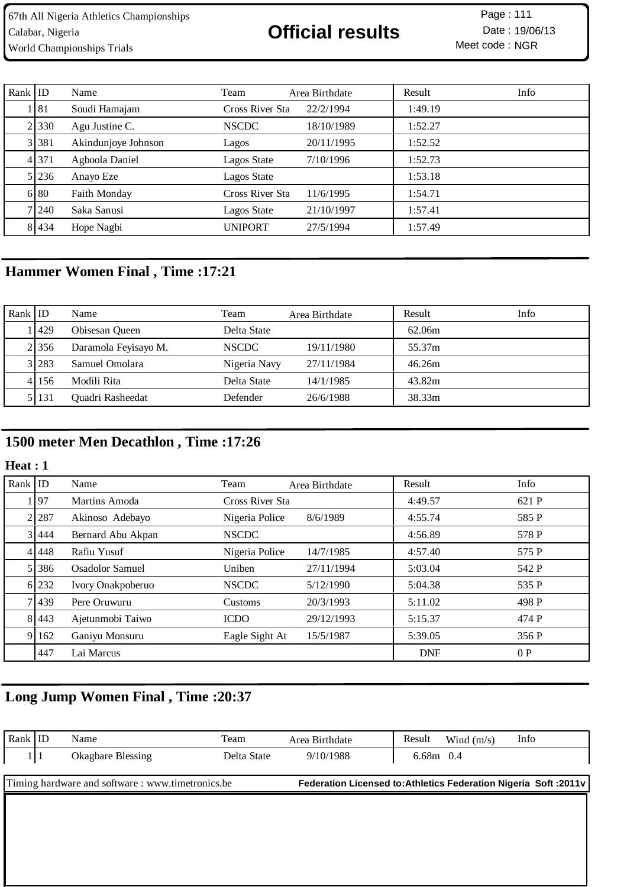Meet code: NGR Page :

| Rank $ ID$ |           | Name                | Team            | Area Birthdate | Result  | Info |
|------------|-----------|---------------------|-----------------|----------------|---------|------|
|            | 181       | Soudi Hamajam       | Cross River Sta | 22/2/1994      | 1:49.19 |      |
|            | 21330     | Agu Justine C.      | <b>NSCDC</b>    | 18/10/1989     | 1:52.27 |      |
|            | 3 3 3 3 1 | Akindunjoye Johnson | Lagos           | 20/11/1995     | 1:52.52 |      |
|            | 4 371     | Agboola Daniel      | Lagos State     | 7/10/1996      | 1:52.73 |      |
|            | 5 236     | Anayo Eze           | Lagos State     |                | 1:53.18 |      |
|            | 6 80      | <b>Faith Monday</b> | Cross River Sta | 11/6/1995      | 1:54.71 |      |
|            | 71240     | Saka Sanusi         | Lagos State     | 21/10/1997     | 1:57.41 |      |
|            | 8 4 4 3 4 | Hope Nagbi          | <b>UNIPORT</b>  | 27/5/1994      | 1:57.49 |      |

# **Hammer Women Final , Time :17:21**

| Rank ID |       | Name                 | Team         | Area Birthdate | Result | Info |
|---------|-------|----------------------|--------------|----------------|--------|------|
|         | 1429  | Obisesan Queen       | Delta State  |                | 62.06m |      |
|         | 2 356 | Daramola Feyisayo M. | <b>NSCDC</b> | 19/11/1980     | 55.37m |      |
|         | 3 283 | Samuel Omolara       | Nigeria Navy | 27/11/1984     | 46.26m |      |
|         | 4156  | Modili Rita          | Delta State  | 14/1/1985      | 43.82m |      |
|         | 5131  | Quadri Rasheedat     | Defender     | 26/6/1988      | 38.33m |      |

# **1500 meter Men Decathlon , Time :17:26**

### **Heat : 1**

| Rank $ $ ID |           | Name              | Team            | Area Birthdate | Result     | Info  |
|-------------|-----------|-------------------|-----------------|----------------|------------|-------|
|             | 97        | Martins Amoda     | Cross River Sta |                | 4:49.57    | 621 P |
|             | 2.287     | Akinoso Adebayo   | Nigeria Police  | 8/6/1989       | 4:55.74    | 585 P |
|             | 3 444     | Bernard Abu Akpan | <b>NSCDC</b>    |                | 4:56.89    | 578 P |
|             | 4 4 4 4 8 | Rafiu Yusuf       | Nigeria Police  | 14/7/1985      | 4:57.40    | 575 P |
|             | 5 386     | Osadolor Samuel   | Uniben          | 27/11/1994     | 5:03.04    | 542 P |
|             | 6 232     | Ivory Onakpoberuo | <b>NSCDC</b>    | 5/12/1990      | 5:04.38    | 535 P |
|             | 7 439     | Pere Oruwuru      | Customs         | 20/3/1993      | 5:11.02    | 498 P |
|             | 8 4 4 3   | Ajetunmobi Taiwo  | <b>ICDO</b>     | 29/12/1993     | 5:15.37    | 474 P |
| 91          | 162       | Ganiyu Monsuru    | Eagle Sight At  | 15/5/1987      | 5:39.05    | 356 P |
|             | 447       | Lai Marcus        |                 |                | <b>DNF</b> | 0P    |

# **Long Jump Women Final , Time :20:37**

| Rank   ID |     | Name                                              | Team        | Area Birthdate                                                    | Result    | Wind $(m/s)$ | Info |
|-----------|-----|---------------------------------------------------|-------------|-------------------------------------------------------------------|-----------|--------------|------|
|           | 111 | Okagbare Blessing                                 | Delta State | 9/10/1988                                                         | 6.68m 0.4 |              |      |
|           |     | Timing hardware and software : www.timetronics.be |             | Federation Licensed to: Athletics Federation Nigeria Soft : 2011v |           |              |      |
|           |     |                                                   |             |                                                                   |           |              |      |
|           |     |                                                   |             |                                                                   |           |              |      |
|           |     |                                                   |             |                                                                   |           |              |      |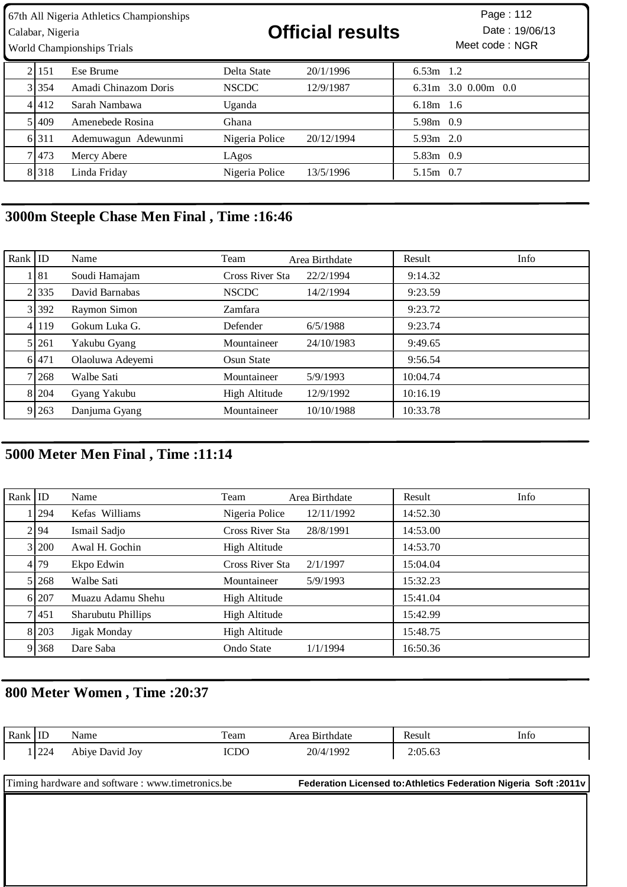| 67th All Nigeria Athletics Championships<br>Calabar, Nigeria<br><b>World Championships Trials</b> |         |                      | <b>Official results</b> |            |             | Page: 112<br>Date: 19/06/13<br>Meet code: NGR |
|---------------------------------------------------------------------------------------------------|---------|----------------------|-------------------------|------------|-------------|-----------------------------------------------|
|                                                                                                   | 21151   | Ese Brume            | Delta State             | 20/1/1996  | $6.53m$ 1.2 |                                               |
|                                                                                                   | 31354   | Amadi Chinazom Doris | <b>NSCDC</b>            | 12/9/1987  |             | $6.31m$ 3.0 0.00m 0.0                         |
|                                                                                                   | 4 4 1 2 | Sarah Nambawa        | Uganda                  |            | $6.18m$ 1.6 |                                               |
|                                                                                                   | 51409   | Amenebede Rosina     | Ghana                   |            | 5.98m 0.9   |                                               |
|                                                                                                   | 6 3 1 1 | Ademuwagun Adewunmi  | Nigeria Police          | 20/12/1994 | $5.93m$ 2.0 |                                               |
|                                                                                                   | 71473   | Mercy Abere          | LAgos                   |            | 5.83m 0.9   |                                               |
|                                                                                                   | 8 3 1 8 | Linda Friday         | Nigeria Police          | 13/5/1996  | 5.15m 0.7   |                                               |

# **3000m Steeple Chase Men Final , Time :16:46**

| Rank $ $ ID |        | Name             | Team            | Area Birthdate | Result   | Info |
|-------------|--------|------------------|-----------------|----------------|----------|------|
|             | 1   81 | Soudi Hamajam    | Cross River Sta | 22/2/1994      | 9:14.32  |      |
|             | 2 335  | David Barnabas   | <b>NSCDC</b>    | 14/2/1994      | 9:23.59  |      |
|             | 3 392  | Raymon Simon     | Zamfara         |                | 9:23.72  |      |
|             | 4 119  | Gokum Luka G.    | Defender        | 6/5/1988       | 9:23.74  |      |
|             | 5 261  | Yakubu Gyang     | Mountaineer     | 24/10/1983     | 9:49.65  |      |
|             | 6.471  | Olaoluwa Adeyemi | Osun State      |                | 9:56.54  |      |
|             | 71268  | Walbe Sati       | Mountaineer     | 5/9/1993       | 10:04.74 |      |
|             | 8 204  | Gyang Yakubu     | High Altitude   | 12/9/1992      | 10:16.19 |      |
|             | 9 263  | Danjuma Gyang    | Mountaineer     | 10/10/1988     | 10:33.78 |      |

# **5000 Meter Men Final , Time :11:14**

| Rank $ $ ID |         | Name               | Team            | Area Birthdate | Result   | Info |
|-------------|---------|--------------------|-----------------|----------------|----------|------|
|             | 1294    | Kefas Williams     | Nigeria Police  | 12/11/1992     | 14:52.30 |      |
|             | 2194    | Ismail Sadjo       | Cross River Sta | 28/8/1991      | 14:53.00 |      |
|             | 3 200   | Awal H. Gochin     | High Altitude   |                | 14:53.70 |      |
|             | 4 79    | Ekpo Edwin         | Cross River Sta | 2/1/1997       | 15:04.04 |      |
|             | 5 268   | Walbe Sati         | Mountaineer     | 5/9/1993       | 15:32.23 |      |
|             | 6 207   | Muazu Adamu Shehu  | High Altitude   |                | 15:41.04 |      |
|             | 7 4 5 1 | Sharubutu Phillips | High Altitude   |                | 15:42.99 |      |
|             | 8 203   | Jigak Monday       | High Altitude   |                | 15:48.75 |      |
|             | 9 368   | Dare Saba          | Ondo State      | 1/1/1994       | 16:50.36 |      |

# **800 Meter Women , Time :20:37**

| Rank $ $ ID                                       |       | Name            | Team        | Area Birthdate | Result                                                           | Info |
|---------------------------------------------------|-------|-----------------|-------------|----------------|------------------------------------------------------------------|------|
|                                                   | 1 224 | Abiye David Joy | <b>ICDO</b> | 20/4/1992      | 2:05.63                                                          |      |
|                                                   |       |                 |             |                |                                                                  |      |
| Timing hardware and software : www.timetronics.be |       |                 |             |                | Federation Licensed to: Athletics Federation Nigeria Soft: 2011v |      |
|                                                   |       |                 |             |                |                                                                  |      |
|                                                   |       |                 |             |                |                                                                  |      |
|                                                   |       |                 |             |                |                                                                  |      |
|                                                   |       |                 |             |                |                                                                  |      |